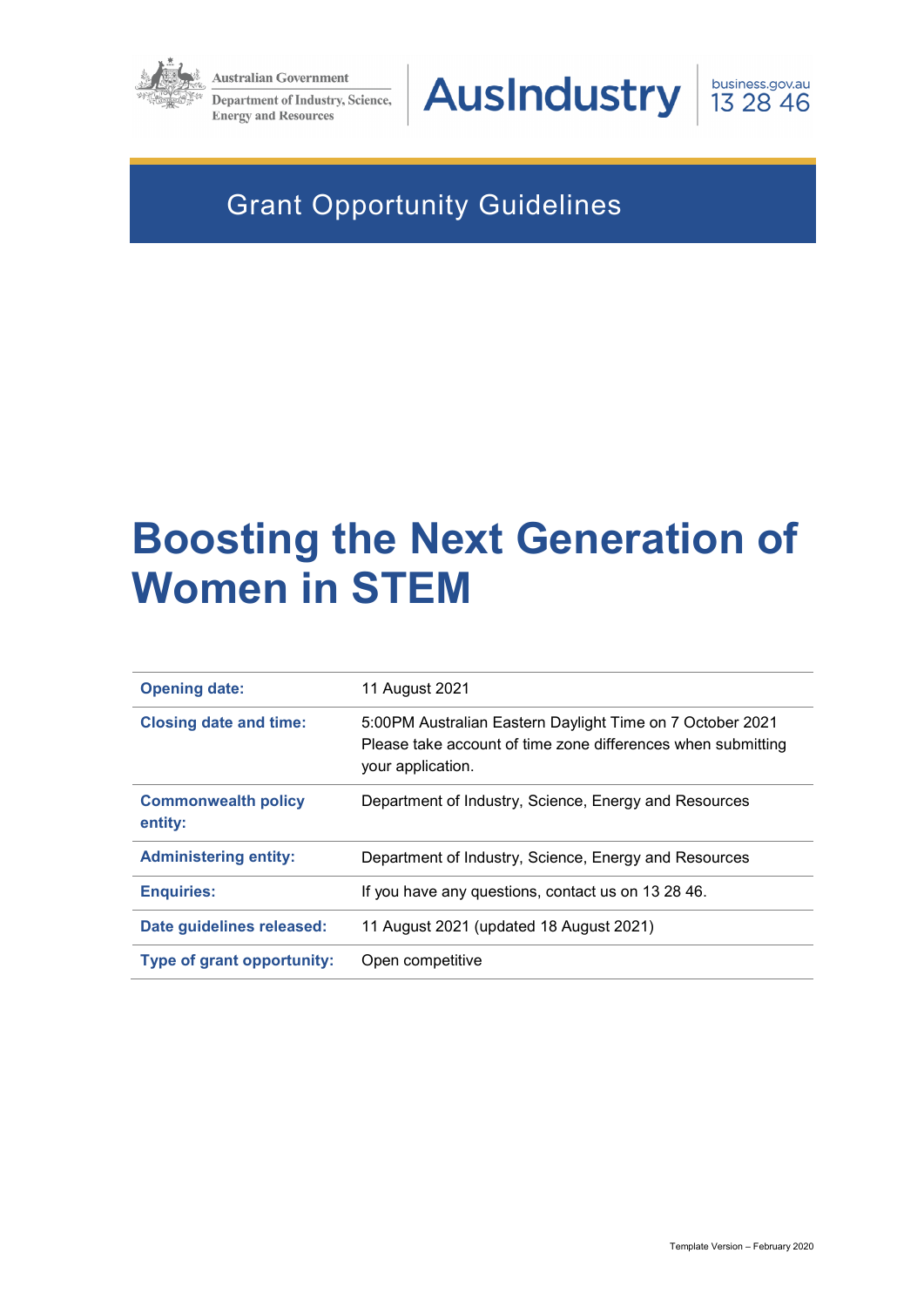

**Australian Government** 

Department of Industry, Science, **Energy and Resources** 

# **AusIndustry**



# Grant Opportunity Guidelines

# **Boosting the Next Generation of Women in STEM**

| <b>Opening date:</b>                  | 11 August 2021                                                                                                                                 |
|---------------------------------------|------------------------------------------------------------------------------------------------------------------------------------------------|
| <b>Closing date and time:</b>         | 5:00PM Australian Eastern Daylight Time on 7 October 2021<br>Please take account of time zone differences when submitting<br>your application. |
| <b>Commonwealth policy</b><br>entity: | Department of Industry, Science, Energy and Resources                                                                                          |
| <b>Administering entity:</b>          | Department of Industry, Science, Energy and Resources                                                                                          |
| <b>Enquiries:</b>                     | If you have any questions, contact us on 13 28 46.                                                                                             |
| Date guidelines released:             | 11 August 2021 (updated 18 August 2021)                                                                                                        |
| Type of grant opportunity:            | Open competitive                                                                                                                               |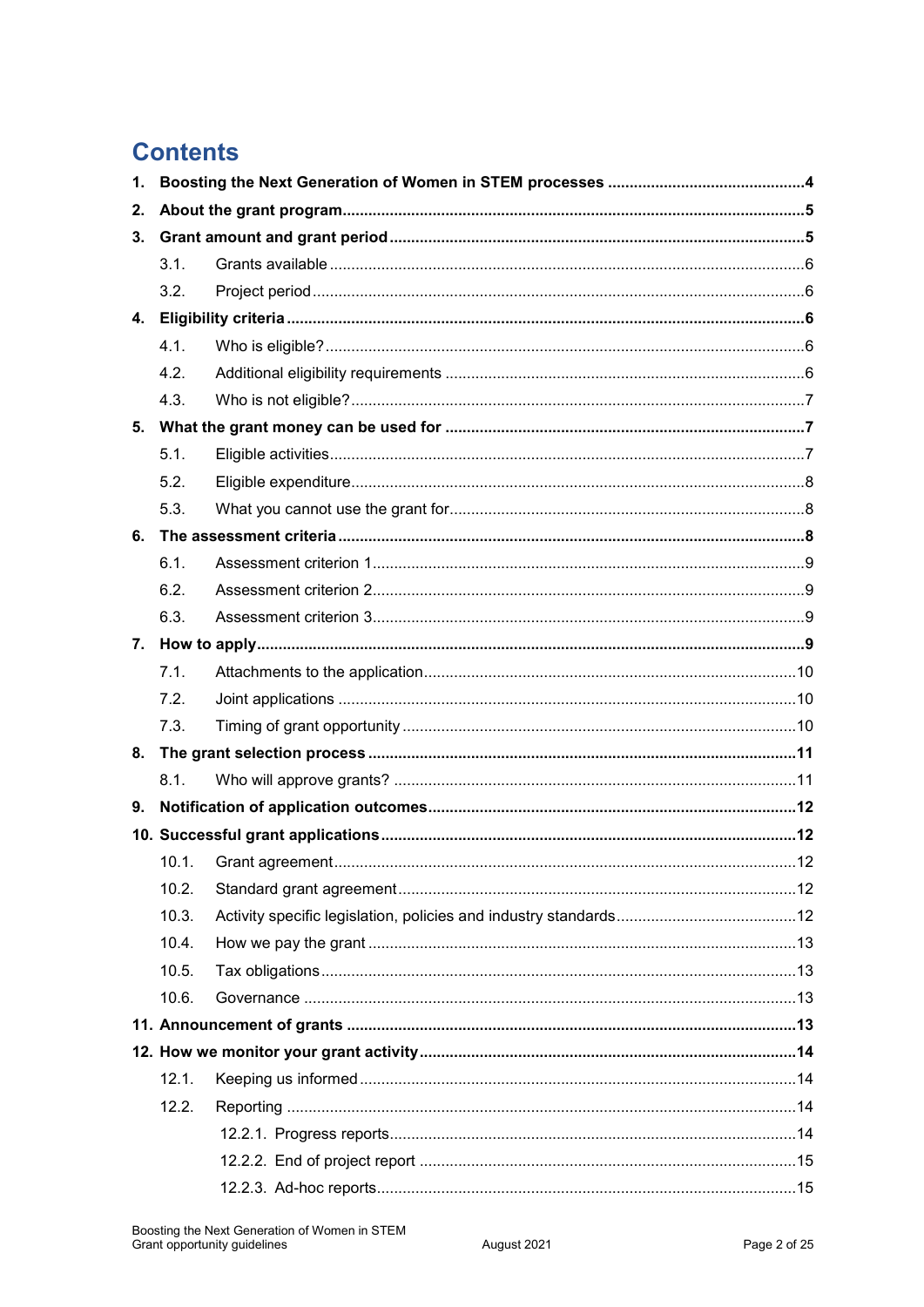# **Contents**

| 1. |       |  |  |  |  |  |
|----|-------|--|--|--|--|--|
| 2. |       |  |  |  |  |  |
| 3. |       |  |  |  |  |  |
|    | 3.1.  |  |  |  |  |  |
|    | 3.2.  |  |  |  |  |  |
| 4. |       |  |  |  |  |  |
|    | 4.1.  |  |  |  |  |  |
|    | 4.2.  |  |  |  |  |  |
|    | 4.3.  |  |  |  |  |  |
| 5. |       |  |  |  |  |  |
|    | 5.1.  |  |  |  |  |  |
|    | 5.2.  |  |  |  |  |  |
|    | 5.3.  |  |  |  |  |  |
| 6. |       |  |  |  |  |  |
|    | 6.1.  |  |  |  |  |  |
|    | 6.2.  |  |  |  |  |  |
|    | 6.3.  |  |  |  |  |  |
| 7. |       |  |  |  |  |  |
|    | 7.1.  |  |  |  |  |  |
|    | 7.2.  |  |  |  |  |  |
|    | 7.3.  |  |  |  |  |  |
| 8. |       |  |  |  |  |  |
|    | 8.1.  |  |  |  |  |  |
| 9. |       |  |  |  |  |  |
|    |       |  |  |  |  |  |
|    |       |  |  |  |  |  |
|    | 10.2. |  |  |  |  |  |
|    | 10.3. |  |  |  |  |  |
|    | 10.4. |  |  |  |  |  |
|    | 10.5. |  |  |  |  |  |
|    | 10.6. |  |  |  |  |  |
|    |       |  |  |  |  |  |
|    |       |  |  |  |  |  |
|    | 12.1. |  |  |  |  |  |
|    | 12.2. |  |  |  |  |  |
|    |       |  |  |  |  |  |
|    |       |  |  |  |  |  |
|    |       |  |  |  |  |  |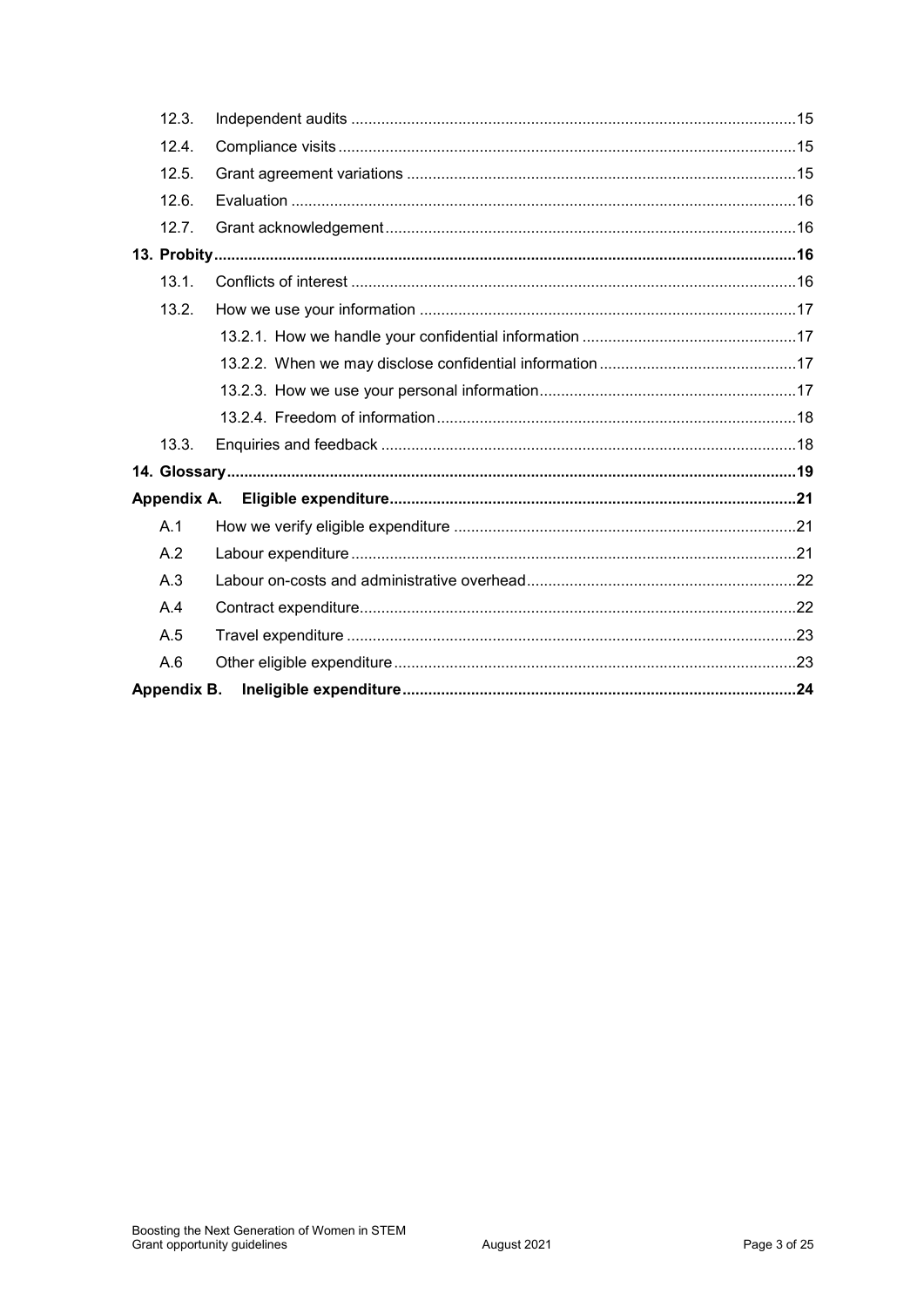| 12.3.       |  |
|-------------|--|
| 12.4.       |  |
| 12.5.       |  |
| 12.6.       |  |
| 12.7.       |  |
|             |  |
| 13.1.       |  |
| 13.2.       |  |
|             |  |
|             |  |
|             |  |
|             |  |
| 13.3.       |  |
|             |  |
|             |  |
| A.1         |  |
| A.2         |  |
| A.3         |  |
| A.4         |  |
| A.5         |  |
| A.6         |  |
| Appendix B. |  |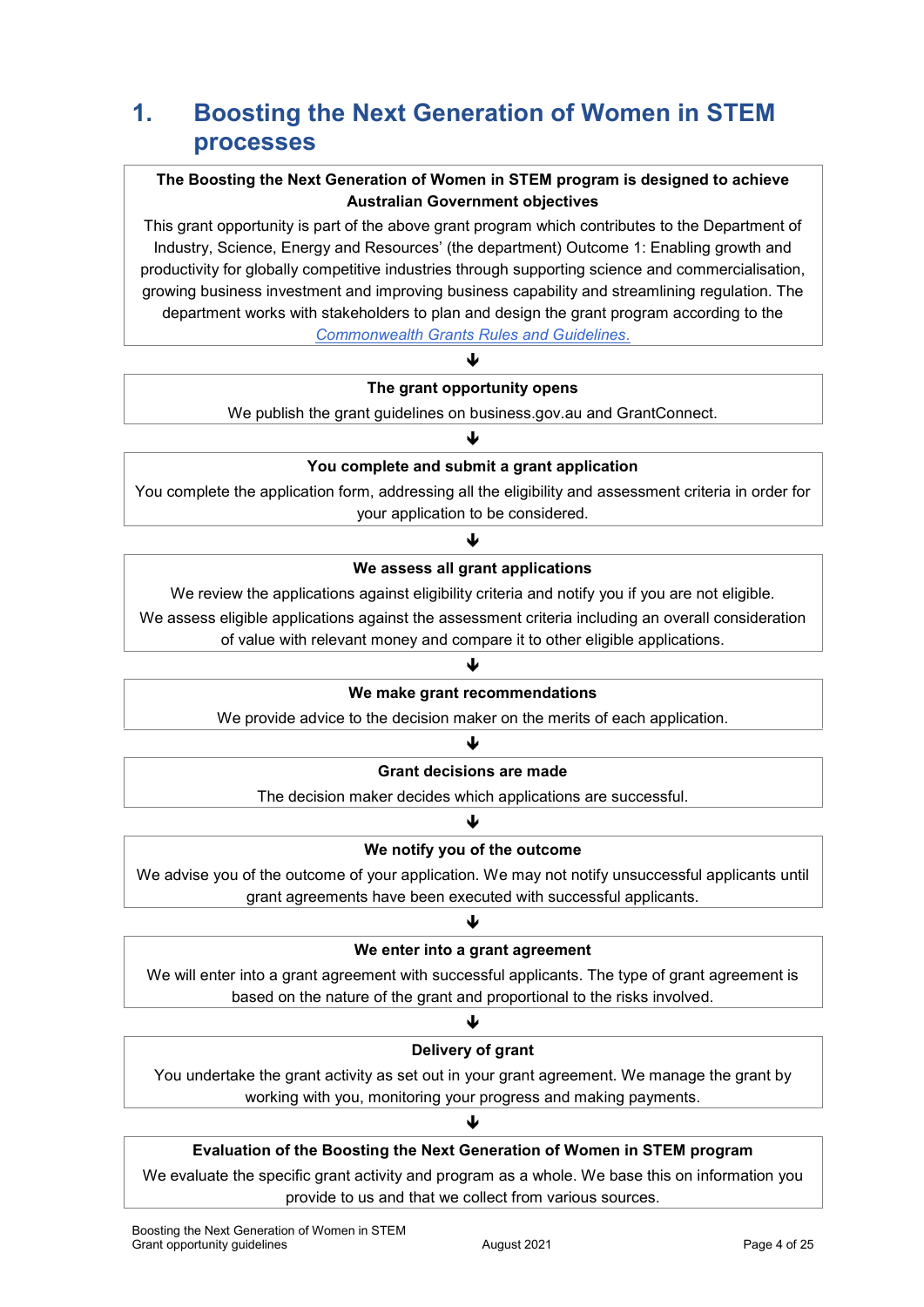# **1. Boosting the Next Generation of Women in STEM processes**

### **The Boosting the Next Generation of Women in STEM program is designed to achieve Australian Government objectives**

This grant opportunity is part of the above grant program which contributes to the Department of Industry, Science, Energy and Resources' (the department) Outcome 1: Enabling growth and productivity for globally competitive industries through supporting science and commercialisation, growing business investment and improving business capability and streamlining regulation. The department works with stakeholders to plan and design the grant program according to the *[Commonwealth Grants Rules and Guidelines](https://www.finance.gov.au/government/commonwealth-grants/commonwealth-grants-rules-guidelines)*.

#### **The grant opportunity opens**

J

We publish the grant guidelines on business.gov.au and GrantConnect.

### ₩ **You complete and submit a grant application**

You complete the application form, addressing all the eligibility and assessment criteria in order for your application to be considered.

### ψ **We assess all grant applications**

We review the applications against eligibility criteria and notify you if you are not eligible.

We assess eligible applications against the assessment criteria including an overall consideration

of value with relevant money and compare it to other eligible applications.

#### J

#### **We make grant recommendations**

We provide advice to the decision maker on the merits of each application.

#### J

#### **Grant decisions are made**

The decision maker decides which applications are successful.

#### ₩

#### **We notify you of the outcome**

We advise you of the outcome of your application. We may not notify unsuccessful applicants until grant agreements have been executed with successful applicants.

### ↓ **We enter into a grant agreement**

We will enter into a grant agreement with successful applicants. The type of grant agreement is based on the nature of the grant and proportional to the risks involved.

### Ψ **Delivery of grant**

You undertake the grant activity as set out in your grant agreement. We manage the grant by working with you, monitoring your progress and making payments.

业

### **Evaluation of the Boosting the Next Generation of Women in STEM program**

We evaluate the specific grant activity and program as a whole. We base this on information you provide to us and that we collect from various sources.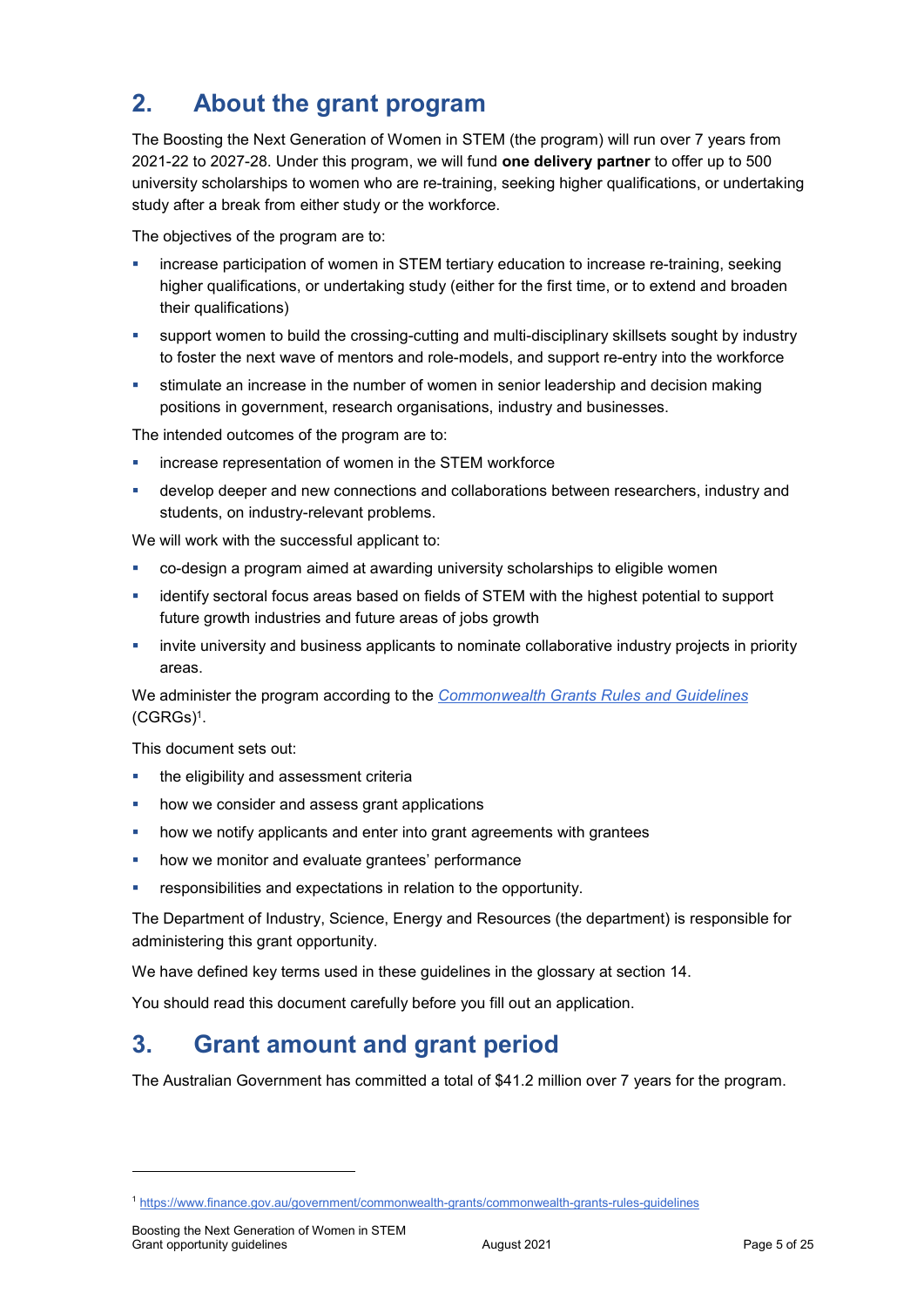# **2. About the grant program**

The Boosting the Next Generation of Women in STEM (the program) will run over 7 years from 2021-22 to 2027-28. Under this program, we will fund **one delivery partner** to offer up to 500 university scholarships to women who are re-training, seeking higher qualifications, or undertaking study after a break from either study or the workforce.

The objectives of the program are to:

- increase participation of women in STEM tertiary education to increase re-training, seeking higher qualifications, or undertaking study (either for the first time, or to extend and broaden their qualifications)
- support women to build the crossing-cutting and multi-disciplinary skillsets sought by industry to foster the next wave of mentors and role-models, and support re-entry into the workforce
- stimulate an increase in the number of women in senior leadership and decision making positions in government, research organisations, industry and businesses.

The intended outcomes of the program are to:

- increase representation of women in the STEM workforce
- develop deeper and new connections and collaborations between researchers, industry and students, on industry-relevant problems.

We will work with the successful applicant to:

- co-design a program aimed at awarding university scholarships to eligible women
- identify sectoral focus areas based on fields of STEM with the highest potential to support future growth industries and future areas of jobs growth
- **EXED INTER 1** invite university and business applicants to nominate collaborative industry projects in priority areas.

We administer the program according to the *[Commonwealth Grants Rules and Guidelines](https://www.finance.gov.au/government/commonwealth-grants/commonwealth-grants-rules-guidelines)* [\(CGRGs\)](https://www.finance.gov.au/government/commonwealth-grants/commonwealth-grants-rules-guidelines)<sup>1</sup> .

This document sets out:

- the eligibility and assessment criteria
- **•** how we consider and assess grant applications
- how we notify applicants and enter into grant agreements with grantees
- **how we monitor and evaluate grantees' performance**
- responsibilities and expectations in relation to the opportunity.

The Department of Industry, Science, Energy and Resources (the department) is responsible for administering this grant opportunity.

We have defined key terms used in these guidelines in the glossary at section [14.](#page-18-0)

You should read this document carefully before you fill out an application.

# **3. Grant amount and grant period**

The Australian Government has committed a total of \$41.2 million over 7 years for the program.

1

<sup>1</sup> <https://www.finance.gov.au/government/commonwealth-grants/commonwealth-grants-rules-guidelines>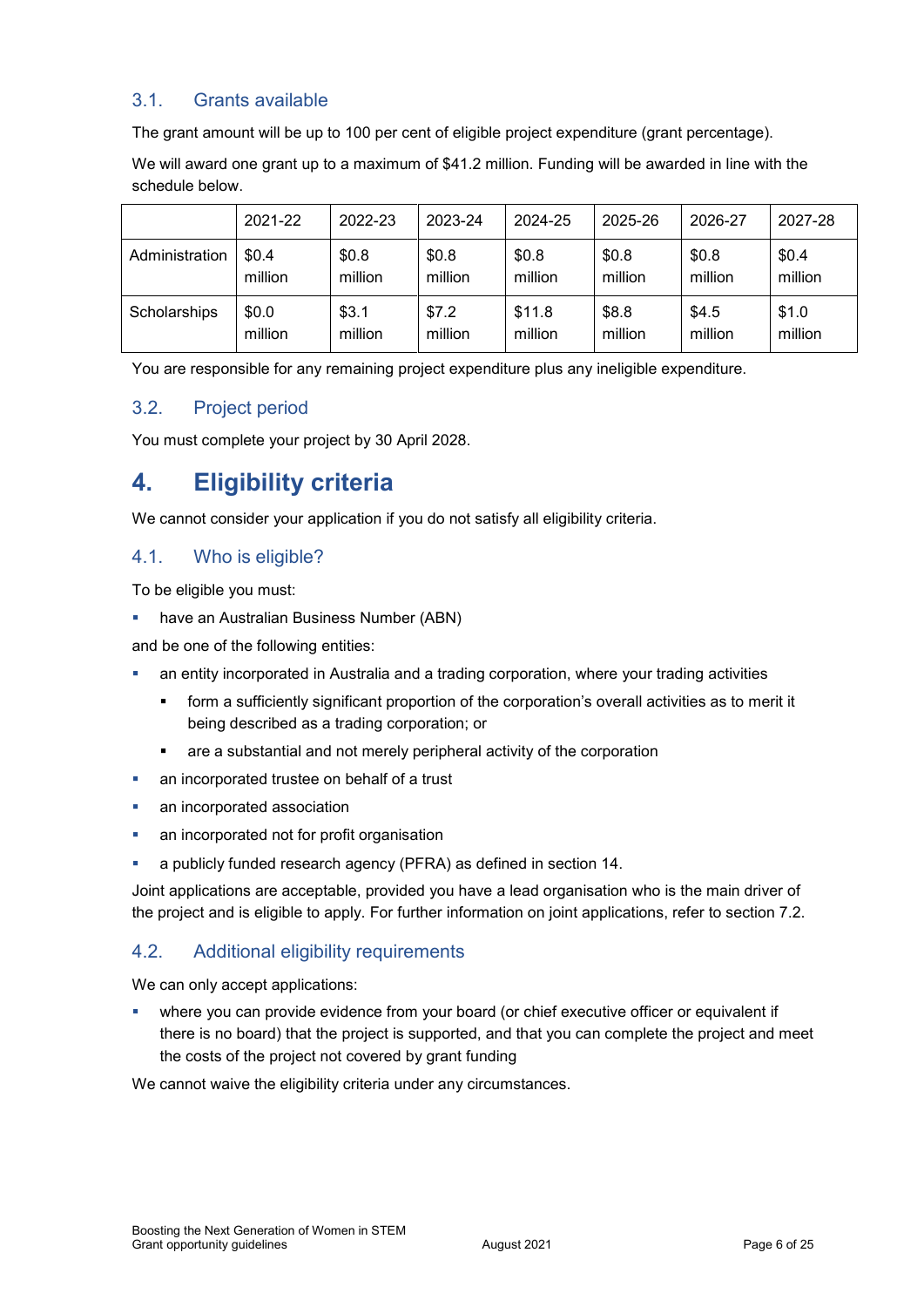### 3.1. Grants available

The grant amount will be up to 100 per cent of eligible project expenditure (grant percentage).

We will award one grant up to a maximum of \$41.2 million. Funding will be awarded in line with the schedule below.

|                | 2021-22 | 2022-23 | 2023-24 | 2024-25 | 2025-26 | 2026-27 | 2027-28 |
|----------------|---------|---------|---------|---------|---------|---------|---------|
| Administration | \$0.4\$ | \$0.8   | \$0.8   | \$0.8   | \$0.8   | \$0.8   | \$0.4   |
|                | million | million | million | million | million | million | million |
| Scholarships   | \$0.0   | \$3.1   | \$7.2   | \$11.8  | \$8.8   | \$4.5   | \$1.0   |
|                | million | million | million | million | million | million | million |

You are responsible for any remaining project expenditure plus any ineligible expenditure.

### 3.2. Project period

You must complete your project by 30 April 2028.

# **4. Eligibility criteria**

We cannot consider your application if you do not satisfy all eligibility criteria.

### <span id="page-5-0"></span>4.1. Who is eligible?

To be eligible you must:

have an Australian Business Number (ABN)

and be one of the following entities:

- an entity incorporated in Australia and a trading corporation, where your trading activities
	- form a sufficiently significant proportion of the corporation's overall activities as to merit it being described as a trading corporation; or
	- are a substantial and not merely peripheral activity of the corporation
- **an incorporated trustee on behalf of a trust**
- an incorporated association
- an incorporated not for profit organisation
- a publicly funded research agency (PFRA) as defined in section 14.

Joint applications are acceptable, provided you have a lead organisation who is the main driver of the project and is eligible to apply. For further information on joint applications, refer to section [7.2.](#page-9-0)

### 4.2. Additional eligibility requirements

We can only accept applications:

 where you can provide evidence from your board (or chief executive officer or equivalent if there is no board) that the project is supported, and that you can complete the project and meet the costs of the project not covered by grant funding

We cannot waive the eligibility criteria under any circumstances.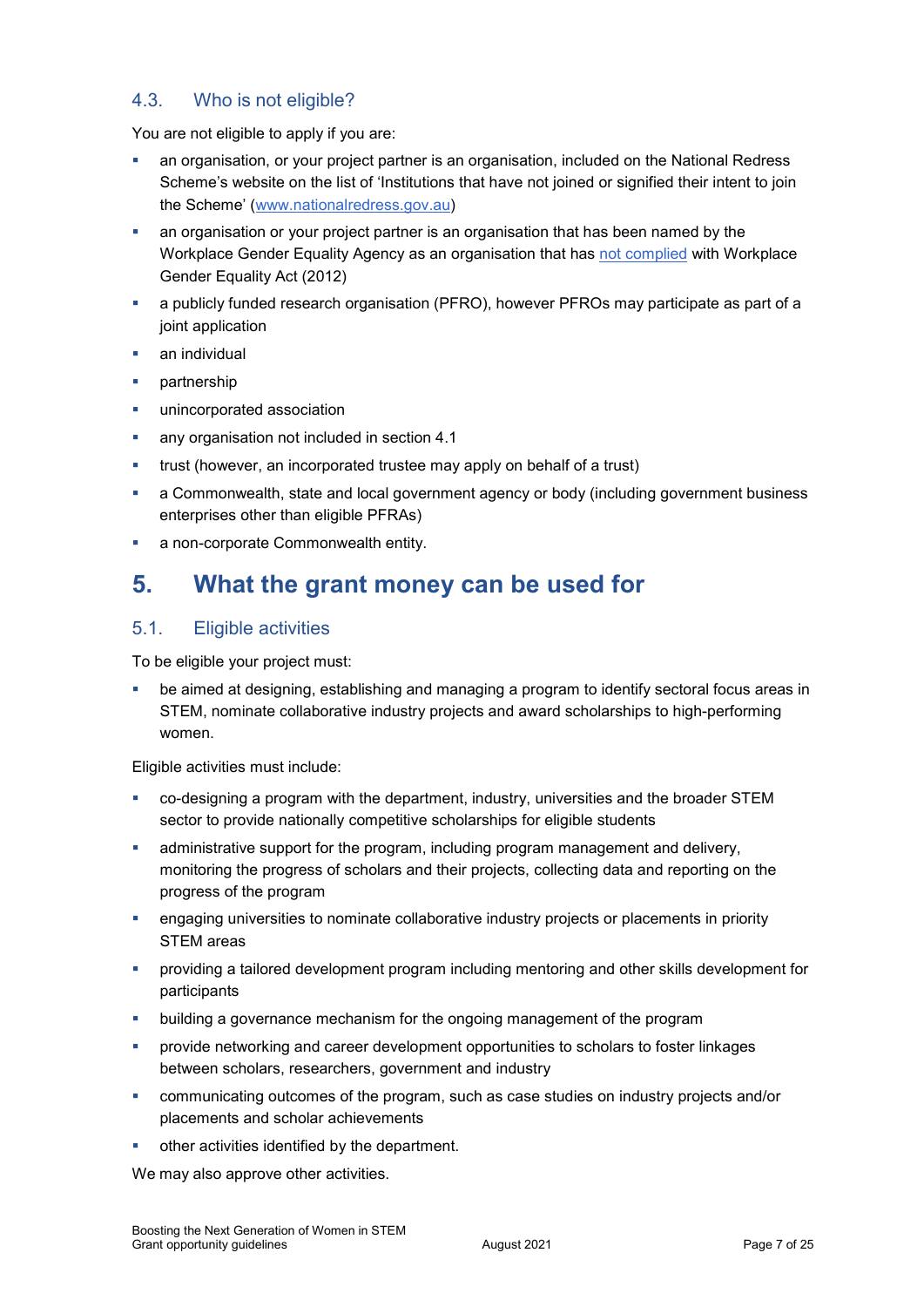### 4.3. Who is not eligible?

You are not eligible to apply if you are:

- an organisation, or your project partner is an organisation, included on the National Redress Scheme's website on the list of 'Institutions that have not joined or signified their intent to join the Scheme' [\(www.nationalredress.gov.au\)](http://www.nationalredress.gov.au/)
- an organisation or your project partner is an organisation that has been named by the Workplace Gender Equality Agency as an organisation that has [not complied](https://www.wgea.gov.au/what-we-do/compliance-reporting/non-compliant-list) with Workplace Gender Equality Act (2012)
- a publicly funded research organisation (PFRO), however PFROs may participate as part of a joint application
- an individual
- **•** partnership
- unincorporated association
- **any organisation not included in section [4.1](#page-5-0)**
- **•** trust (however, an incorporated trustee may apply on behalf of a trust)
- a Commonwealth, state and local government agency or body (including government business enterprises other than eligible PFRAs)
- **a** non-corporate Commonwealth entity.

# **5. What the grant money can be used for**

### <span id="page-6-0"></span>5.1. Eligible activities

To be eligible your project must:

 be aimed at designing, establishing and managing a program to identify sectoral focus areas in STEM, nominate collaborative industry projects and award scholarships to high-performing women.

Eligible activities must include:

- co-designing a program with the department, industry, universities and the broader STEM sector to provide nationally competitive scholarships for eligible students
- administrative support for the program, including program management and delivery, monitoring the progress of scholars and their projects, collecting data and reporting on the progress of the program
- engaging universities to nominate collaborative industry projects or placements in priority STEM areas
- providing a tailored development program including mentoring and other skills development for participants
- building a governance mechanism for the ongoing management of the program
- provide networking and career development opportunities to scholars to foster linkages between scholars, researchers, government and industry
- communicating outcomes of the program, such as case studies on industry projects and/or placements and scholar achievements
- other activities identified by the department.

We may also approve other activities.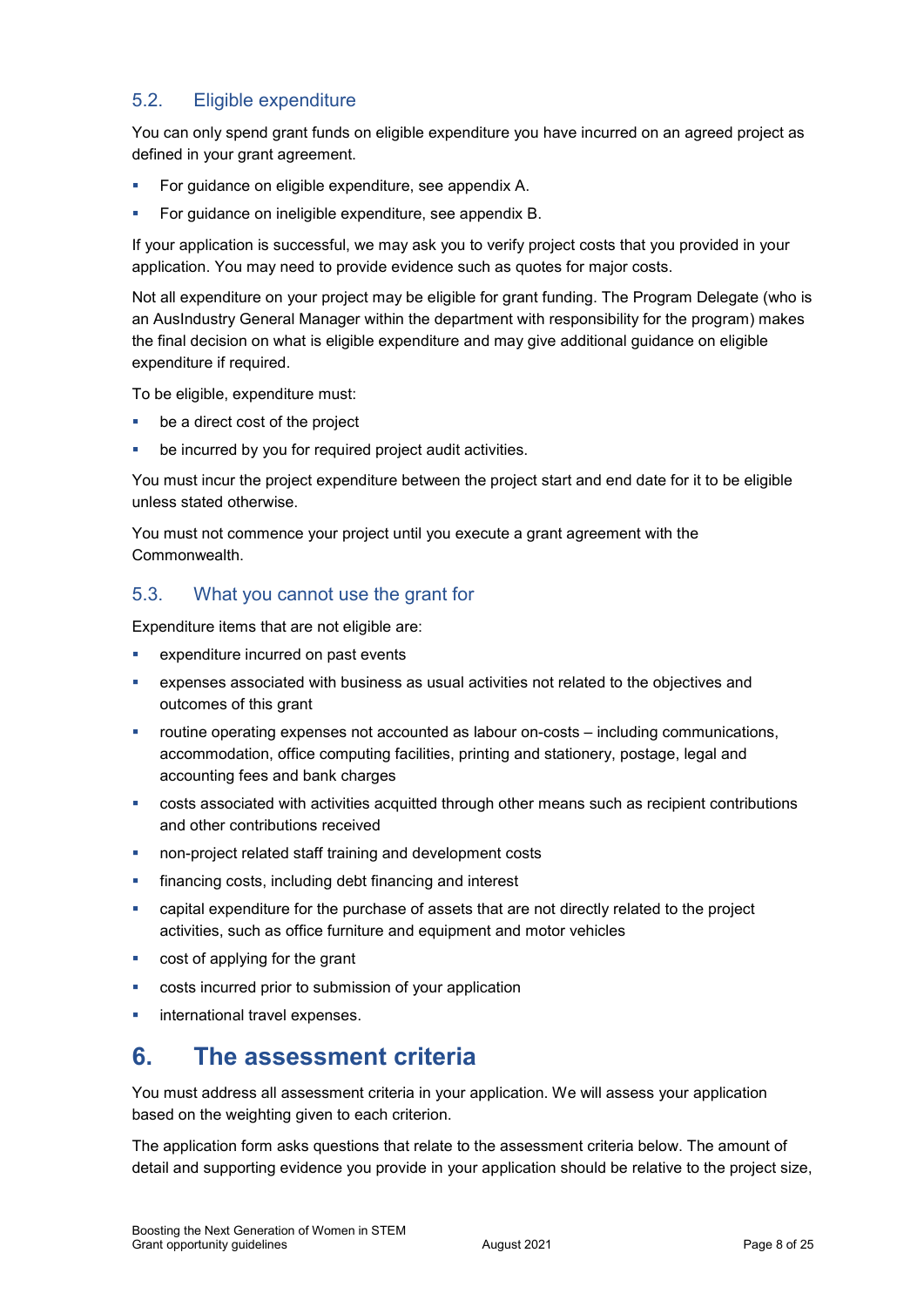### <span id="page-7-0"></span>5.2. Eligible expenditure

You can only spend grant funds on eligible expenditure you have incurred on an agreed project as defined in your grant agreement.

- For guidance on eligible expenditure, see appendix A.
- For guidance on ineligible expenditure, see appendix B.

If your application is successful, we may ask you to verify project costs that you provided in your application. You may need to provide evidence such as quotes for major costs.

Not all expenditure on your project may be eligible for grant funding. The Program Delegate (who is an AusIndustry General Manager within the department with responsibility for the program) makes the final decision on what is eligible expenditure and may give additional guidance on eligible expenditure if required.

To be eligible, expenditure must:

- be a direct cost of the project
- be incurred by you for required project audit activities.

You must incur the project expenditure between the project start and end date for it to be eligible unless stated otherwise.

You must not commence your project until you execute a grant agreement with the Commonwealth.

### 5.3. What you cannot use the grant for

Expenditure items that are not eligible are:

- expenditure incurred on past events
- expenses associated with business as usual activities not related to the objectives and outcomes of this grant
- routine operating expenses not accounted as labour on-costs including communications, accommodation, office computing facilities, printing and stationery, postage, legal and accounting fees and bank charges
- costs associated with activities acquitted through other means such as recipient contributions and other contributions received
- non-project related staff training and development costs
- financing costs, including debt financing and interest
- capital expenditure for the purchase of assets that are not directly related to the project activities, such as office furniture and equipment and motor vehicles
- cost of applying for the grant
- costs incurred prior to submission of your application
- international travel expenses.

# **6. The assessment criteria**

You must address all assessment criteria in your application. We will assess your application based on the weighting given to each criterion.

The application form asks questions that relate to the assessment criteria below. The amount of detail and supporting evidence you provide in your application should be relative to the project size,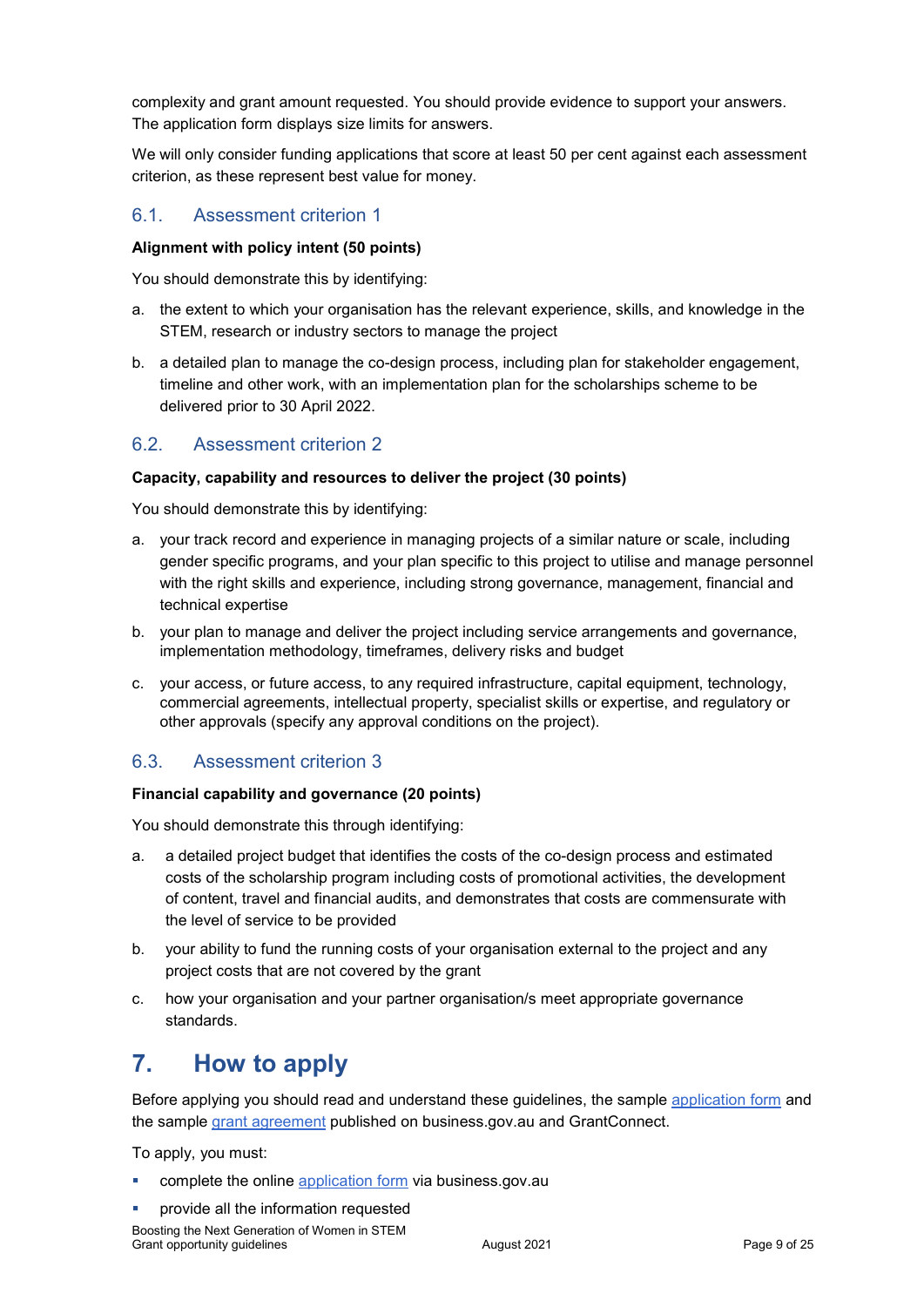complexity and grant amount requested. You should provide evidence to support your answers. The application form displays size limits for answers.

We will only consider funding applications that score at least 50 per cent against each assessment criterion, as these represent best value for money.

### 6.1. Assessment criterion 1

#### **Alignment with policy intent (50 points)**

You should demonstrate this by identifying:

- a. the extent to which your organisation has the relevant experience, skills, and knowledge in the STEM, research or industry sectors to manage the project
- b. a detailed plan to manage the co-design process, including plan for stakeholder engagement, timeline and other work, with an implementation plan for the scholarships scheme to be delivered prior to 30 April 2022.

### 6.2. Assessment criterion 2

#### **Capacity, capability and resources to deliver the project (30 points)**

You should demonstrate this by identifying:

- a. your track record and experience in managing projects of a similar nature or scale, including gender specific programs, and your plan specific to this project to utilise and manage personnel with the right skills and experience, including strong governance, management, financial and technical expertise
- b. your plan to manage and deliver the project including service arrangements and governance, implementation methodology, timeframes, delivery risks and budget
- c. your access, or future access, to any required infrastructure, capital equipment, technology, commercial agreements, intellectual property, specialist skills or expertise, and regulatory or other approvals (specify any approval conditions on the project).

### 6.3. Assessment criterion 3

#### **Financial capability and governance (20 points)**

You should demonstrate this through identifying:

- a. a detailed project budget that identifies the costs of the co-design process and estimated costs of the scholarship program including costs of promotional activities, the development of content, travel and financial audits, and demonstrates that costs are commensurate with the level of service to be provided
- b. your ability to fund the running costs of your organisation external to the project and any project costs that are not covered by the grant
- c. how your organisation and your partner organisation/s meet appropriate governance standards.

# **7. How to apply**

Before applying you should read and understand these guidelines, the sample [application form](https://business.gov.au/grants-and-programs/boosting-the-next-generation-of-women-in-stem#key-documents) and the sample [grant agreement](https://business.gov.au/grants-and-programs/boosting-the-next-generation-of-women-in-stem#key-documents) published on business.gov.au and GrantConnect.

To apply, you must:

- complete the online [application form](https://business.gov.au/grants-and-programs/boosting-the-next-generation-of-women-in-stem#applying) via business.gov.au
- provide all the information requested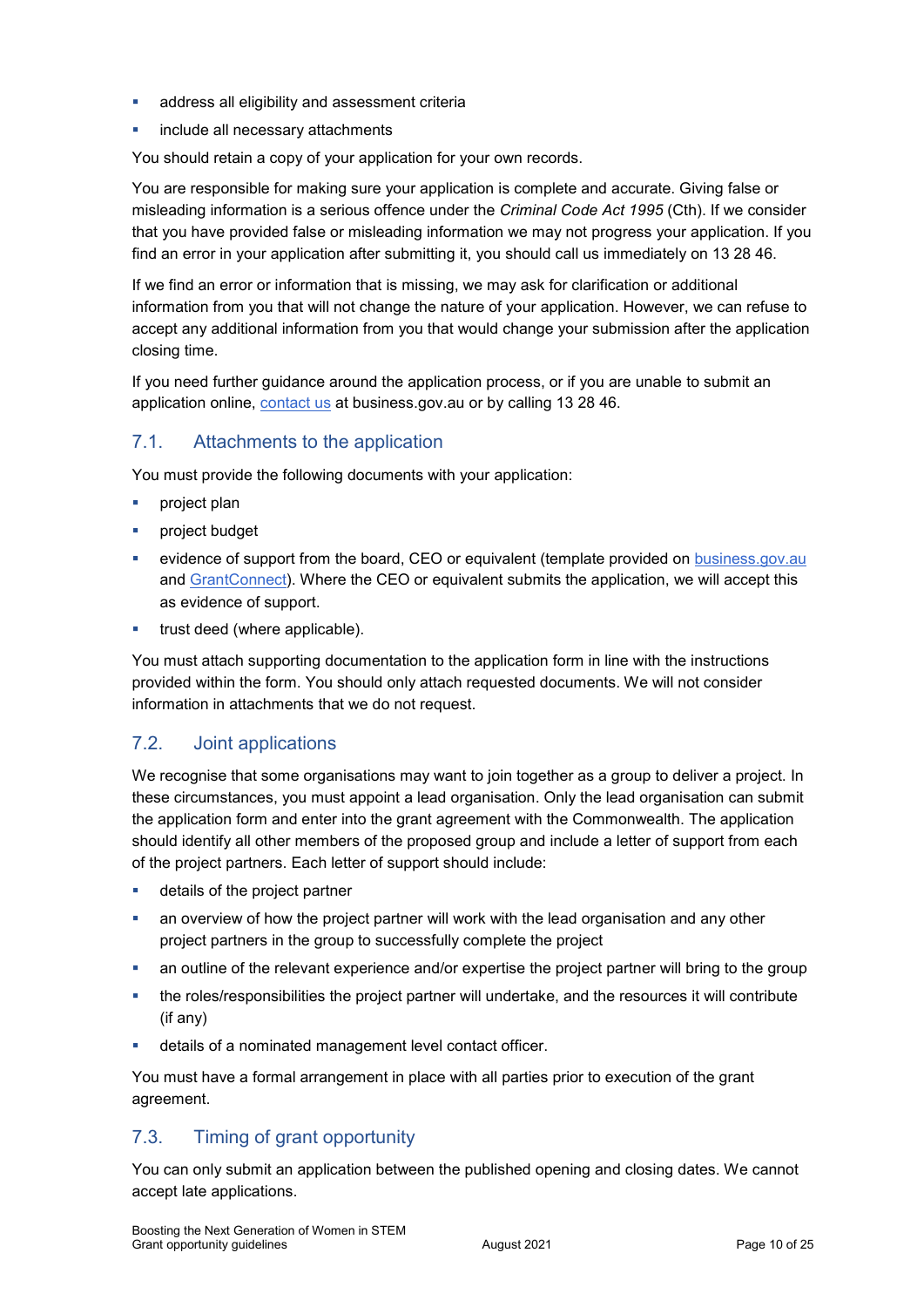- address all eligibility and assessment criteria
- include all necessary attachments

You should retain a copy of your application for your own records.

You are responsible for making sure your application is complete and accurate. Giving false or misleading information is a serious offence under the *Criminal Code Act 1995* (Cth). If we consider that you have provided false or misleading information we may not progress your application. If you find an error in your application after submitting it, you should call us immediately on 13 28 46.

If we find an error or information that is missing, we may ask for clarification or additional information from you that will not change the nature of your application. However, we can refuse to accept any additional information from you that would change your submission after the application closing time.

If you need further guidance around the application process, or if you are unable to submit an application online, [contact us](https://www.business.gov.au/contact-us) at business.gov.au or by calling 13 28 46.

### 7.1. Attachments to the application

You must provide the following documents with your application:

- **project plan**
- project budget
- evidence of support from the board, CEO or equivalent (template provided on [business.gov.au](https://business.gov.au/grants-and-programs/boosting-the-next-generation-of-women-in-stem#key-documents) and [GrantConnect\)](http://www.grants.gov.au/). Where the CEO or equivalent submits the application, we will accept this as evidence of support.
- trust deed (where applicable).

You must attach supporting documentation to the application form in line with the instructions provided within the form. You should only attach requested documents. We will not consider information in attachments that we do not request.

### <span id="page-9-0"></span>7.2. Joint applications

We recognise that some organisations may want to join together as a group to deliver a project. In these circumstances, you must appoint a lead organisation. Only the lead organisation can submit the application form and enter into the grant agreement with the Commonwealth. The application should identify all other members of the proposed group and include a letter of support from each of the project partners. Each letter of support should include:

- **details of the project partner**
- an overview of how the project partner will work with the lead organisation and any other project partners in the group to successfully complete the project
- an outline of the relevant experience and/or expertise the project partner will bring to the group
- the roles/responsibilities the project partner will undertake, and the resources it will contribute (if any)
- details of a nominated management level contact officer.

You must have a formal arrangement in place with all parties prior to execution of the grant agreement.

### 7.3. Timing of grant opportunity

You can only submit an application between the published opening and closing dates. We cannot accept late applications.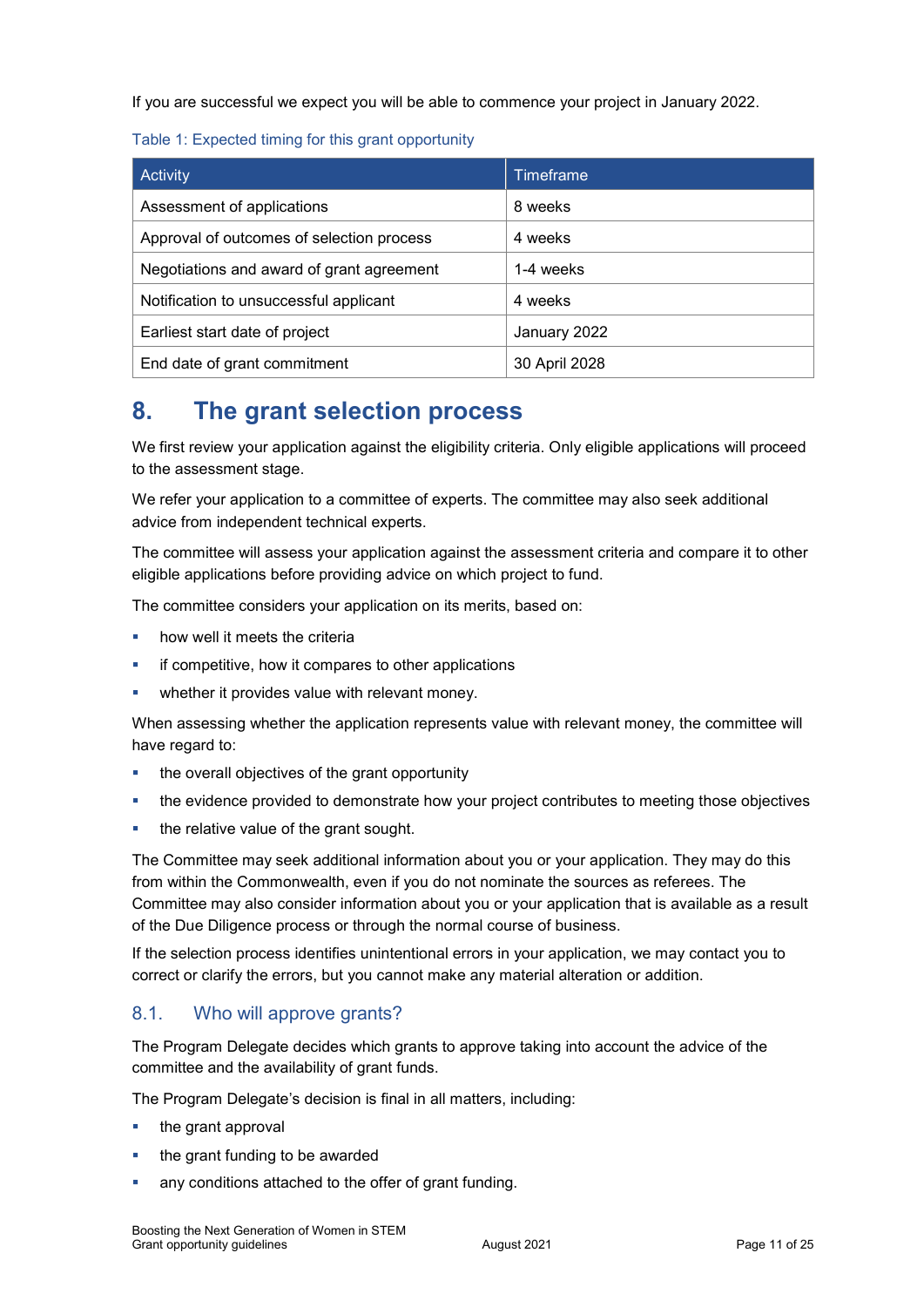If you are successful we expect you will be able to commence your project in January 2022.

#### Table 1: Expected timing for this grant opportunity

| <b>Activity</b>                           | Timeframe     |
|-------------------------------------------|---------------|
| Assessment of applications                | 8 weeks       |
| Approval of outcomes of selection process | 4 weeks       |
| Negotiations and award of grant agreement | 1-4 weeks     |
| Notification to unsuccessful applicant    | 4 weeks       |
| Earliest start date of project            | January 2022  |
| End date of grant commitment              | 30 April 2028 |

# **8. The grant selection process**

We first review your application against the eligibility criteria. Only eligible applications will proceed to the assessment stage.

We refer your application to a committee of experts. The committee may also seek additional advice from independent technical experts.

The committee will assess your application against the assessment criteria and compare it to other eligible applications before providing advice on which project to fund.

The committee considers your application on its merits, based on:

- how well it meets the criteria
- if competitive, how it compares to other applications
- whether it provides value with relevant money.

When assessing whether the application represents value with relevant money, the committee will have regard to:

- the overall objectives of the grant opportunity
- the evidence provided to demonstrate how your project contributes to meeting those objectives
- the relative value of the grant sought.

The Committee may seek additional information about you or your application. They may do this from within the Commonwealth, even if you do not nominate the sources as referees. The Committee may also consider information about you or your application that is available as a result of the Due Diligence process or through the normal course of business.

If the selection process identifies unintentional errors in your application, we may contact you to correct or clarify the errors, but you cannot make any material alteration or addition.

### 8.1. Who will approve grants?

The Program Delegate decides which grants to approve taking into account the advice of the committee and the availability of grant funds.

The Program Delegate's decision is final in all matters, including:

- the grant approval
- the grant funding to be awarded
- any conditions attached to the offer of grant funding.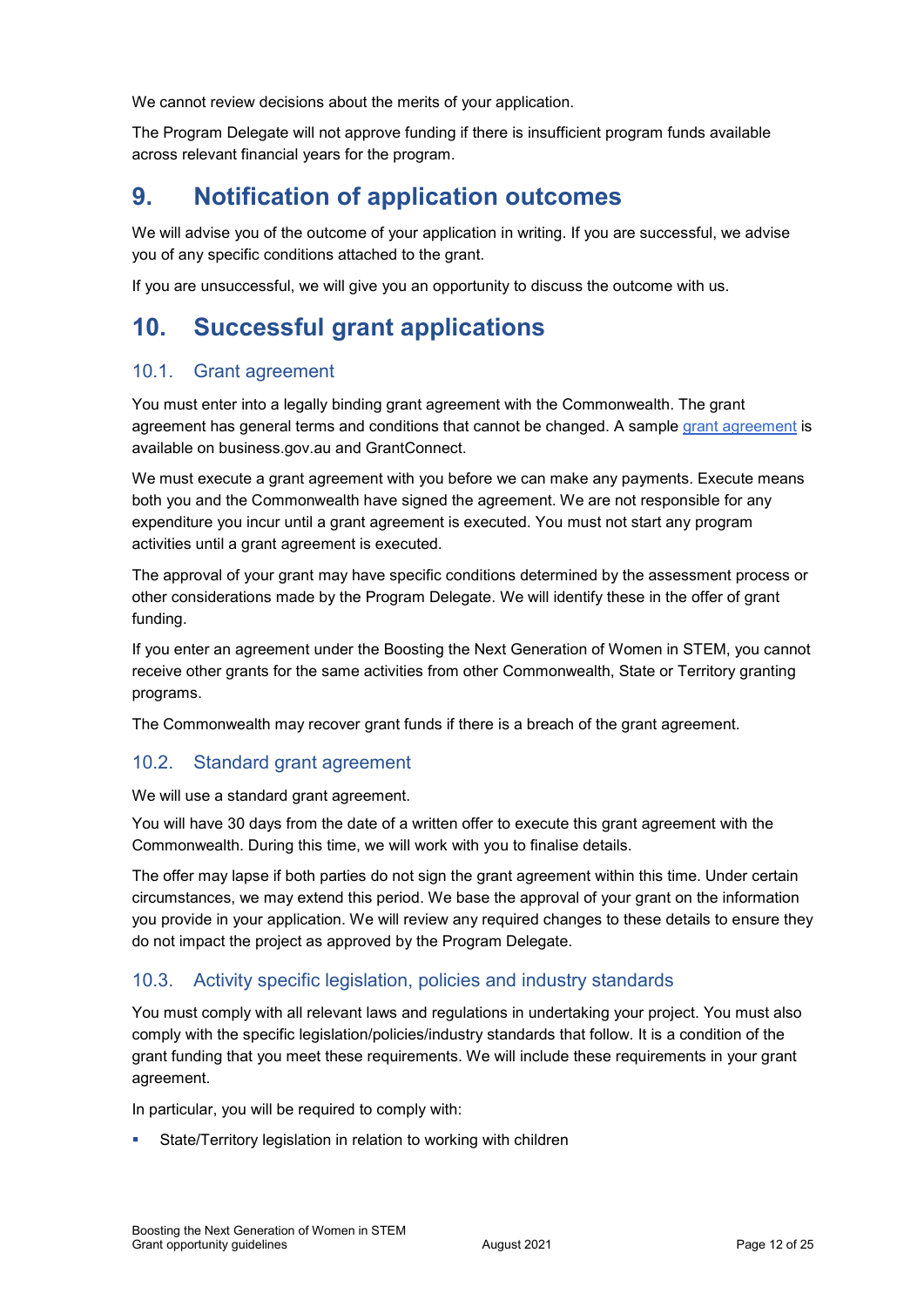We cannot review decisions about the merits of your application.

The Program Delegate will not approve funding if there is insufficient program funds available across relevant financial years for the program.

# **9. Notification of application outcomes**

We will advise you of the outcome of your application in writing. If you are successful, we advise you of any specific conditions attached to the grant.

If you are unsuccessful, we will give you an opportunity to discuss the outcome with us.

# **10. Successful grant applications**

### 10.1. Grant agreement

You must enter into a legally binding grant agreement with the Commonwealth. The grant agreement has general terms and conditions that cannot be changed. A sample [grant agreement](https://business.gov.au/grants-and-programs/boosting-the-next-generation-of-women-in-stem#key-documents) is available on business.gov.au and GrantConnect.

We must execute a grant agreement with you before we can make any payments. Execute means both you and the Commonwealth have signed the agreement. We are not responsible for any expenditure you incur until a grant agreement is executed. You must not start any program activities until a grant agreement is executed.

The approval of your grant may have specific conditions determined by the assessment process or other considerations made by the Program Delegate. We will identify these in the offer of grant funding.

If you enter an agreement under the Boosting the Next Generation of Women in STEM, you cannot receive other grants for the same activities from other Commonwealth, State or Territory granting programs.

The Commonwealth may recover grant funds if there is a breach of the grant agreement.

### 10.2. Standard grant agreement

We will use a standard grant agreement.

You will have 30 days from the date of a written offer to execute this grant agreement with the Commonwealth. During this time, we will work with you to finalise details.

The offer may lapse if both parties do not sign the grant agreement within this time. Under certain circumstances, we may extend this period. We base the approval of your grant on the information you provide in your application. We will review any required changes to these details to ensure they do not impact the project as approved by the Program Delegate.

### 10.3. Activity specific legislation, policies and industry standards

You must comply with all relevant laws and regulations in undertaking your project. You must also comply with the specific legislation/policies/industry standards that follow. It is a condition of the grant funding that you meet these requirements. We will include these requirements in your grant agreement.

In particular, you will be required to comply with:

State/Territory legislation in relation to working with children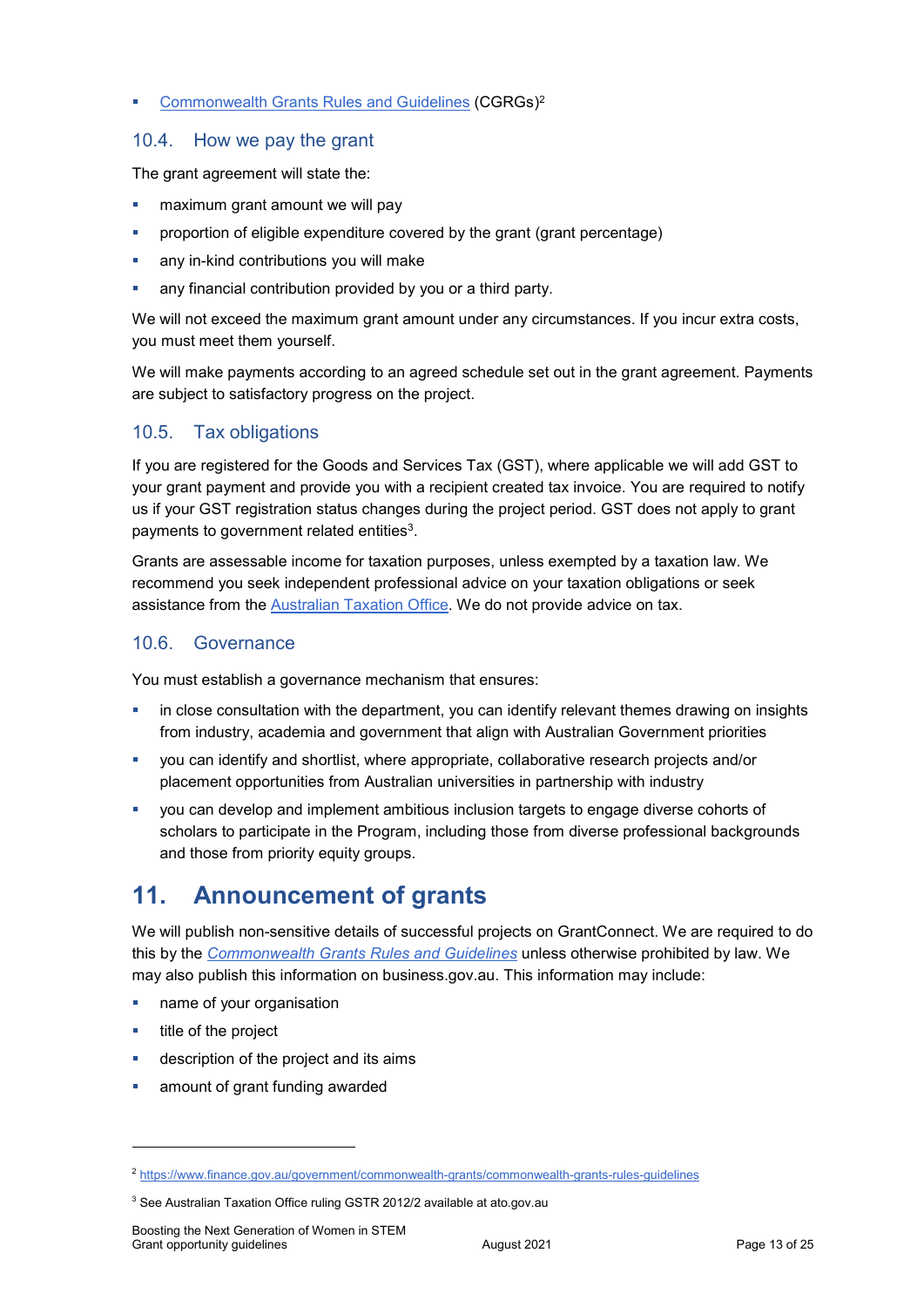#### **EXECOMMONIMED COMMONIGHT COMMONIG COMMONIGHT COMMONIGHT COMMONIGHT COMMONIGHT COMMONIGHT COMMONIGHT COMMONIGHT COMMONIGHT COMMONIGHT COMMONIGHT COMMONIGHT COMMONIGHT COMMONIGHT COMMONIGHT COMMONIGHT COMMONIGHT COMMONIGHT**

### 10.4. How we pay the grant

The grant agreement will state the:

- maximum grant amount we will pay
- proportion of eligible expenditure covered by the grant (grant percentage)
- any in-kind contributions you will make
- any financial contribution provided by you or a third party.

We will not exceed the maximum grant amount under any circumstances. If you incur extra costs, you must meet them yourself.

We will make payments according to an agreed schedule set out in the grant agreement. Payments are subject to satisfactory progress on the project.

### 10.5. Tax obligations

If you are registered for the Goods and Services Tax (GST), where applicable we will add GST to your grant payment and provide you with a recipient created tax invoice. You are required to notify us if your GST registration status changes during the project period. GST does not apply to grant payments to government related entities<sup>3</sup>.

Grants are assessable income for taxation purposes, unless exempted by a taxation law. We recommend you seek independent professional advice on your taxation obligations or seek assistance from the [Australian Taxation Office.](https://www.ato.gov.au/) We do not provide advice on tax.

### 10.6. Governance

You must establish a governance mechanism that ensures:

- in close consultation with the department, you can identify relevant themes drawing on insights from industry, academia and government that align with Australian Government priorities
- you can identify and shortlist, where appropriate, collaborative research projects and/or placement opportunities from Australian universities in partnership with industry
- you can develop and implement ambitious inclusion targets to engage diverse cohorts of scholars to participate in the Program, including those from diverse professional backgrounds and those from priority equity groups.

# **11. Announcement of grants**

We will publish non-sensitive details of successful projects on GrantConnect. We are required to do this by the *[Commonwealth Grants Rules and Guidelines](https://www.finance.gov.au/government/commonwealth-grants/commonwealth-grants-rules-guidelines)* unless otherwise prohibited by law. We may also publish this information on business.gov.au. This information may include:

- name of your organisation
- $\blacksquare$  title of the project

-

- description of the project and its aims
- amount of grant funding awarded

<sup>2</sup> <https://www.finance.gov.au/government/commonwealth-grants/commonwealth-grants-rules-guidelines>

<sup>&</sup>lt;sup>3</sup> See Australian Taxation Office ruling GSTR 2012/2 available at ato.gov.au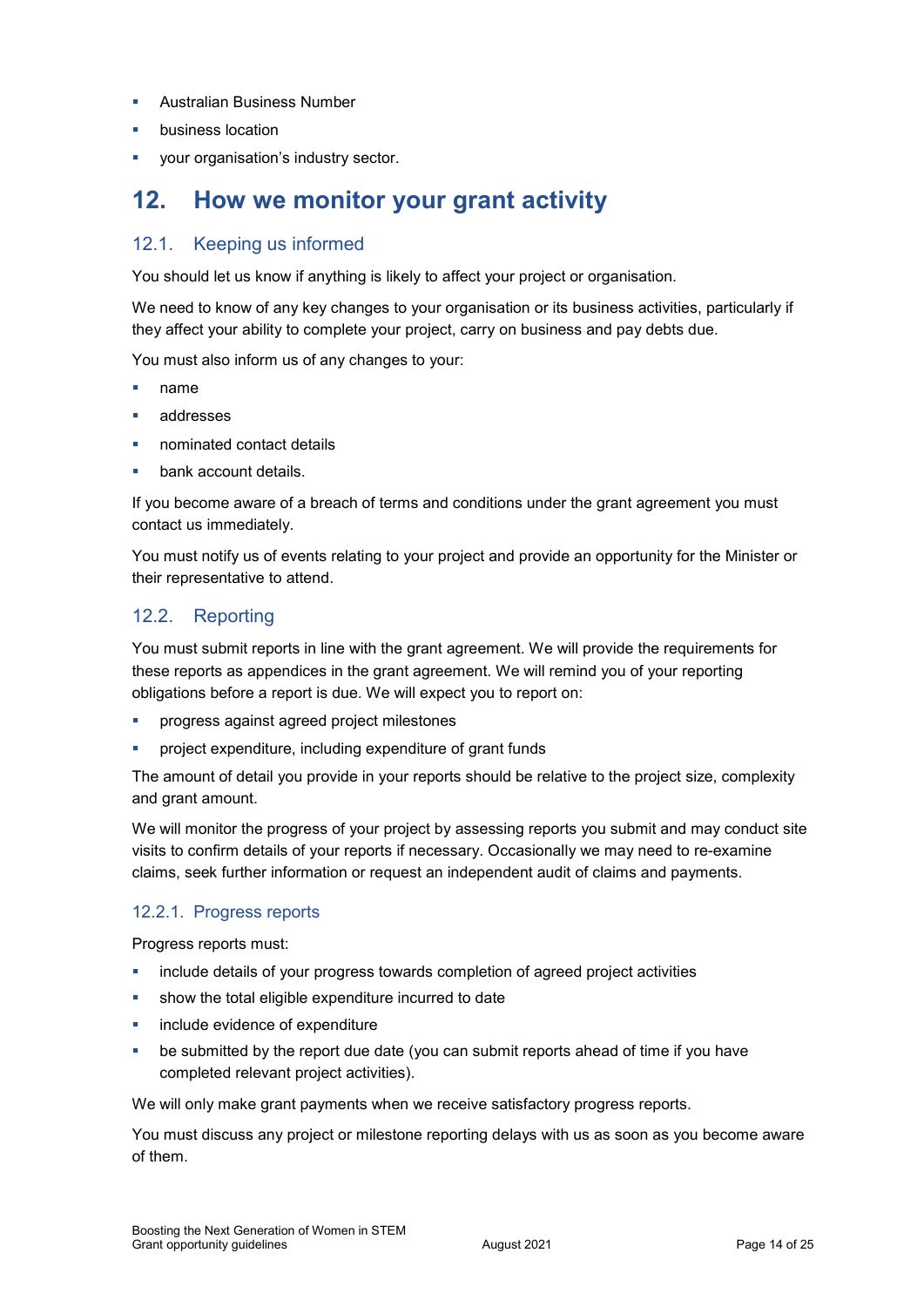- Australian Business Number
- business location
- your organisation's industry sector.

# **12. How we monitor your grant activity**

## 12.1. Keeping us informed

You should let us know if anything is likely to affect your project or organisation.

We need to know of any key changes to your organisation or its business activities, particularly if they affect your ability to complete your project, carry on business and pay debts due.

You must also inform us of any changes to your:

- name
- addresses
- nominated contact details
- bank account details.

If you become aware of a breach of terms and conditions under the grant agreement you must contact us immediately.

You must notify us of events relating to your project and provide an opportunity for the Minister or their representative to attend.

### 12.2. Reporting

You must submit reports in line with the grant agreement. We will provide the requirements for these reports as appendices in the grant agreement. We will remind you of your reporting obligations before a report is due. We will expect you to report on:

- progress against agreed project milestones
- project expenditure, including expenditure of grant funds

The amount of detail you provide in your reports should be relative to the project size, complexity and grant amount.

We will monitor the progress of your project by assessing reports you submit and may conduct site visits to confirm details of your reports if necessary. Occasionally we may need to re-examine claims, seek further information or request an independent audit of claims and payments.

### 12.2.1. Progress reports

Progress reports must:

- include details of your progress towards completion of agreed project activities
- show the total eligible expenditure incurred to date
- include evidence of expenditure
- be submitted by the report due date (you can submit reports ahead of time if you have completed relevant project activities).

We will only make grant payments when we receive satisfactory progress reports.

You must discuss any project or milestone reporting delays with us as soon as you become aware of them.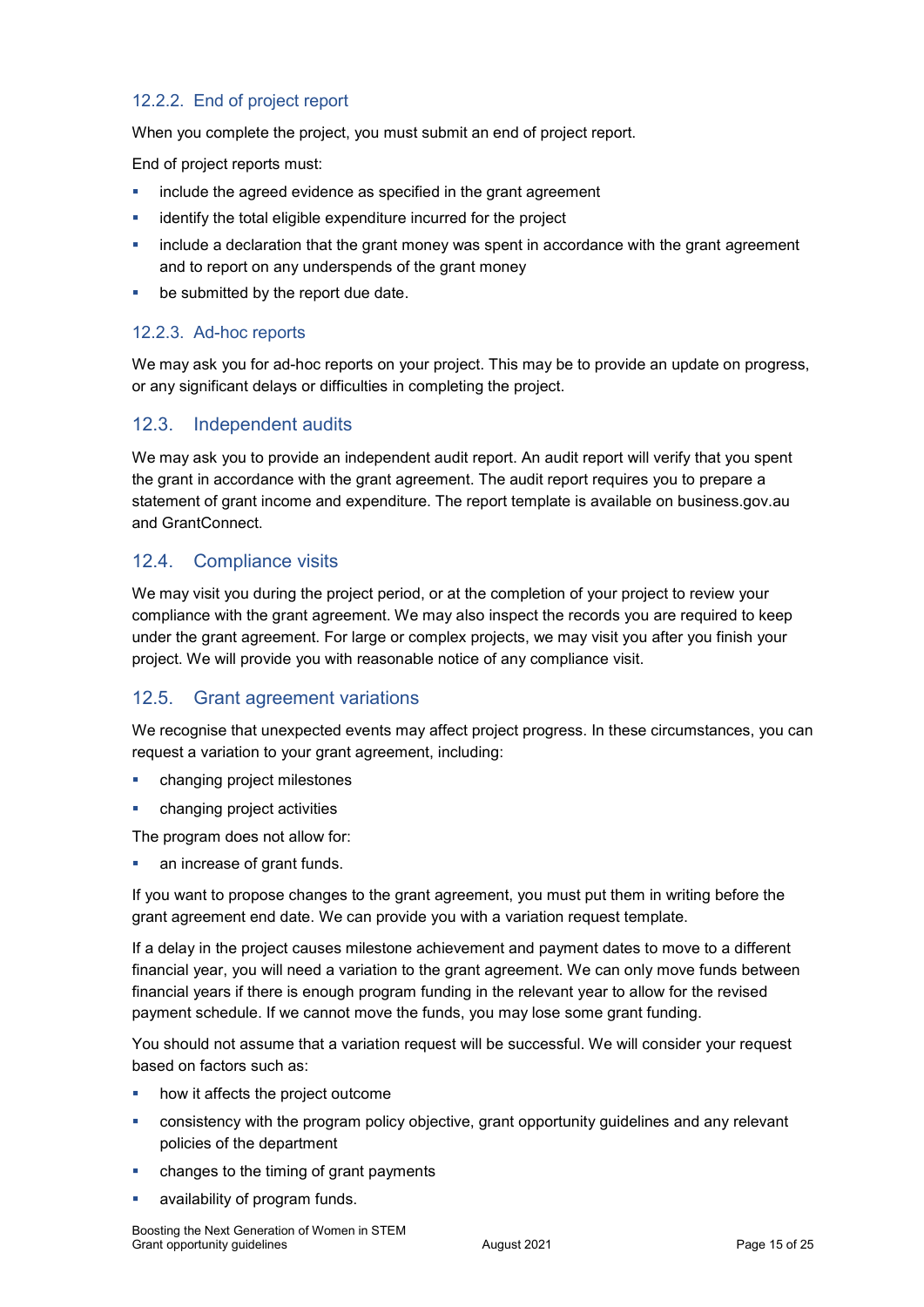### 12.2.2. End of project report

When you complete the project, you must submit an end of project report.

End of project reports must:

- include the agreed evidence as specified in the grant agreement
- identify the total eligible expenditure incurred for the project
- include a declaration that the grant money was spent in accordance with the grant agreement and to report on any underspends of the grant money
- be submitted by the report due date.

### 12.2.3. Ad-hoc reports

We may ask you for ad-hoc reports on your project. This may be to provide an update on progress, or any significant delays or difficulties in completing the project.

### 12.3. Independent audits

We may ask you to provide an independent audit report. An audit report will verify that you spent the grant in accordance with the grant agreement. The audit report requires you to prepare a statement of grant income and expenditure. The report template is available on business.gov.au and GrantConnect.

### 12.4. Compliance visits

We may visit you during the project period, or at the completion of your project to review your compliance with the grant agreement. We may also inspect the records you are required to keep under the grant agreement. For large or complex projects, we may visit you after you finish your project. We will provide you with reasonable notice of any compliance visit.

### 12.5. Grant agreement variations

We recognise that unexpected events may affect project progress. In these circumstances, you can request a variation to your grant agreement, including:

- changing project milestones
- changing project activities

The program does not allow for:

an increase of grant funds.

If you want to propose changes to the grant agreement, you must put them in writing before the grant agreement end date. We can provide you with a variation request template.

If a delay in the project causes milestone achievement and payment dates to move to a different financial year, you will need a variation to the grant agreement. We can only move funds between financial years if there is enough program funding in the relevant year to allow for the revised payment schedule. If we cannot move the funds, you may lose some grant funding.

You should not assume that a variation request will be successful. We will consider your request based on factors such as:

- how it affects the project outcome
- consistency with the program policy objective, grant opportunity guidelines and any relevant policies of the department
- **EXEC** changes to the timing of grant payments
- availability of program funds.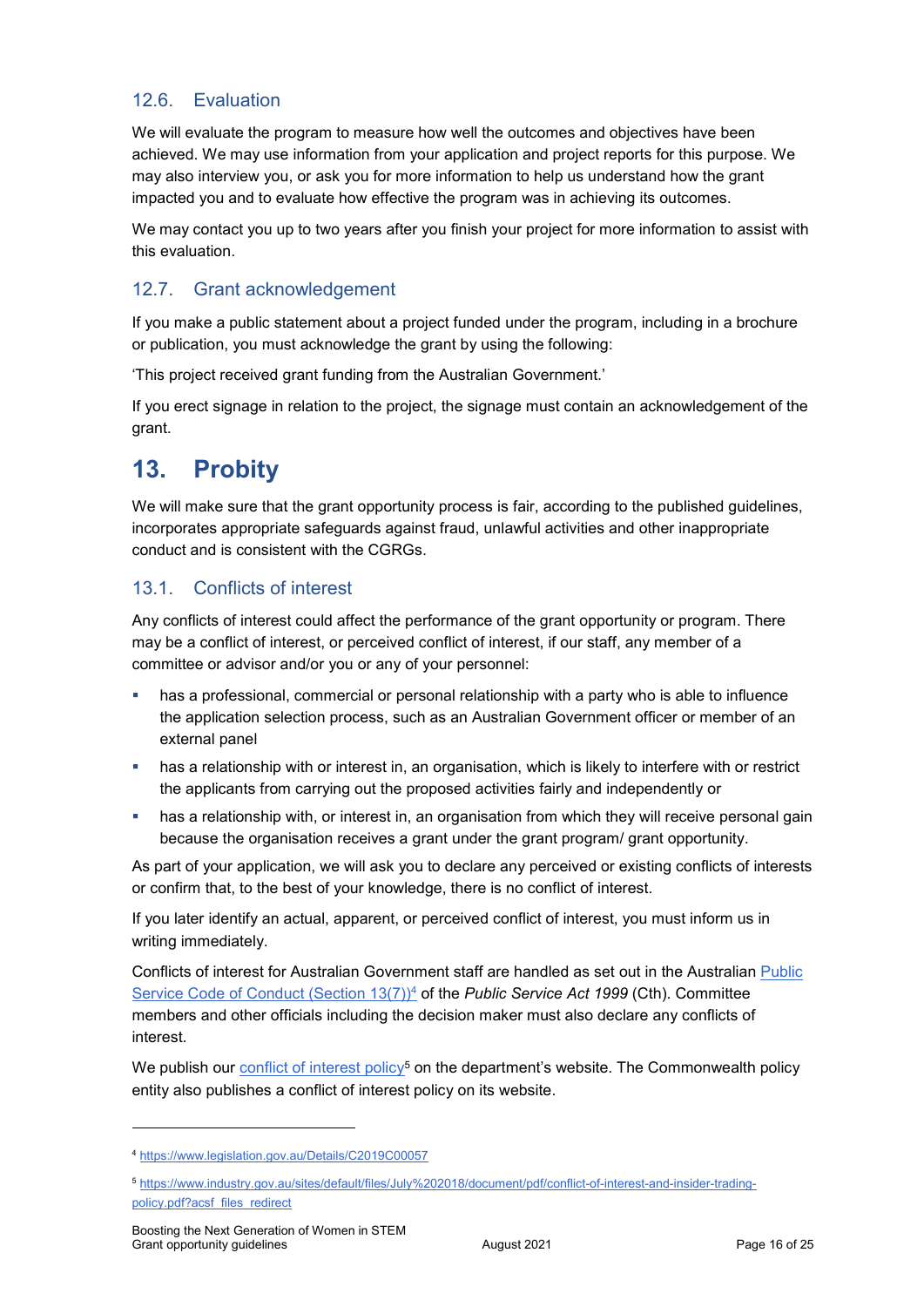### 12.6. Evaluation

We will evaluate the program to measure how well the outcomes and objectives have been achieved. We may use information from your application and project reports for this purpose. We may also interview you, or ask you for more information to help us understand how the grant impacted you and to evaluate how effective the program was in achieving its outcomes.

We may contact you up to two years after you finish your project for more information to assist with this evaluation.

## 12.7. Grant acknowledgement

If you make a public statement about a project funded under the program, including in a brochure or publication, you must acknowledge the grant by using the following:

'This project received grant funding from the Australian Government.'

If you erect signage in relation to the project, the signage must contain an acknowledgement of the grant.

# **13. Probity**

We will make sure that the grant opportunity process is fair, according to the published guidelines, incorporates appropriate safeguards against fraud, unlawful activities and other inappropriate conduct and is consistent with the CGRGs.

### 13.1. Conflicts of interest

Any conflicts of interest could affect the performance of the grant opportunity or program. There may be a [conflict of interest,](http://www.apsc.gov.au/publications-and-media/current-publications/aps-values-and-code-of-conduct-in-practice/conflict-of-interest) or perceived conflict of interest, if our staff, any member of a committee or advisor and/or you or any of your personnel:

- has a professional, commercial or personal relationship with a party who is able to influence the application selection process, such as an Australian Government officer or member of an external panel
- has a relationship with or interest in, an organisation, which is likely to interfere with or restrict the applicants from carrying out the proposed activities fairly and independently or
- **has a relationship with, or interest in, an organisation from which they will receive personal gain** because the organisation receives a grant under the grant program/ grant opportunity.

As part of your application, we will ask you to declare any perceived or existing conflicts of interests or confirm that, to the best of your knowledge, there is no conflict of interest.

If you later identify an actual, apparent, or perceived conflict of interest, you must inform us in writing immediately.

Conflicts of interest for Australian Government staff are handled as set out in the Australian [Public](https://www.legislation.gov.au/Details/C2019C00057)  [Service Code of Conduct \(Section 13\(7\)\)](https://www.legislation.gov.au/Details/C2019C00057)<sup>4</sup> of the *Public Service Act 1999* (Cth). Committee members and other officials including the decision maker must also declare any conflicts of interest.

We publish our [conflict of interest policy](https://www.industry.gov.au/sites/g/files/net3906/f/July%202018/document/pdf/conflict-of-interest-and-insider-trading-policy.pdf)<sup>5</sup> on the department's website. The Commonwealth policy entity also publishes a conflict of interest policy on its website.

-

<sup>4</sup> https://www.legislation.gov.au/Details/C2019C00057

<sup>5</sup> [https://www.industry.gov.au/sites/default/files/July%202018/document/pdf/conflict-of-interest-and-insider-trading](https://www.industry.gov.au/sites/default/files/July%202018/document/pdf/conflict-of-interest-and-insider-trading-policy.pdf?acsf_files_redirect)policy.pdf?acsf\_files\_redirect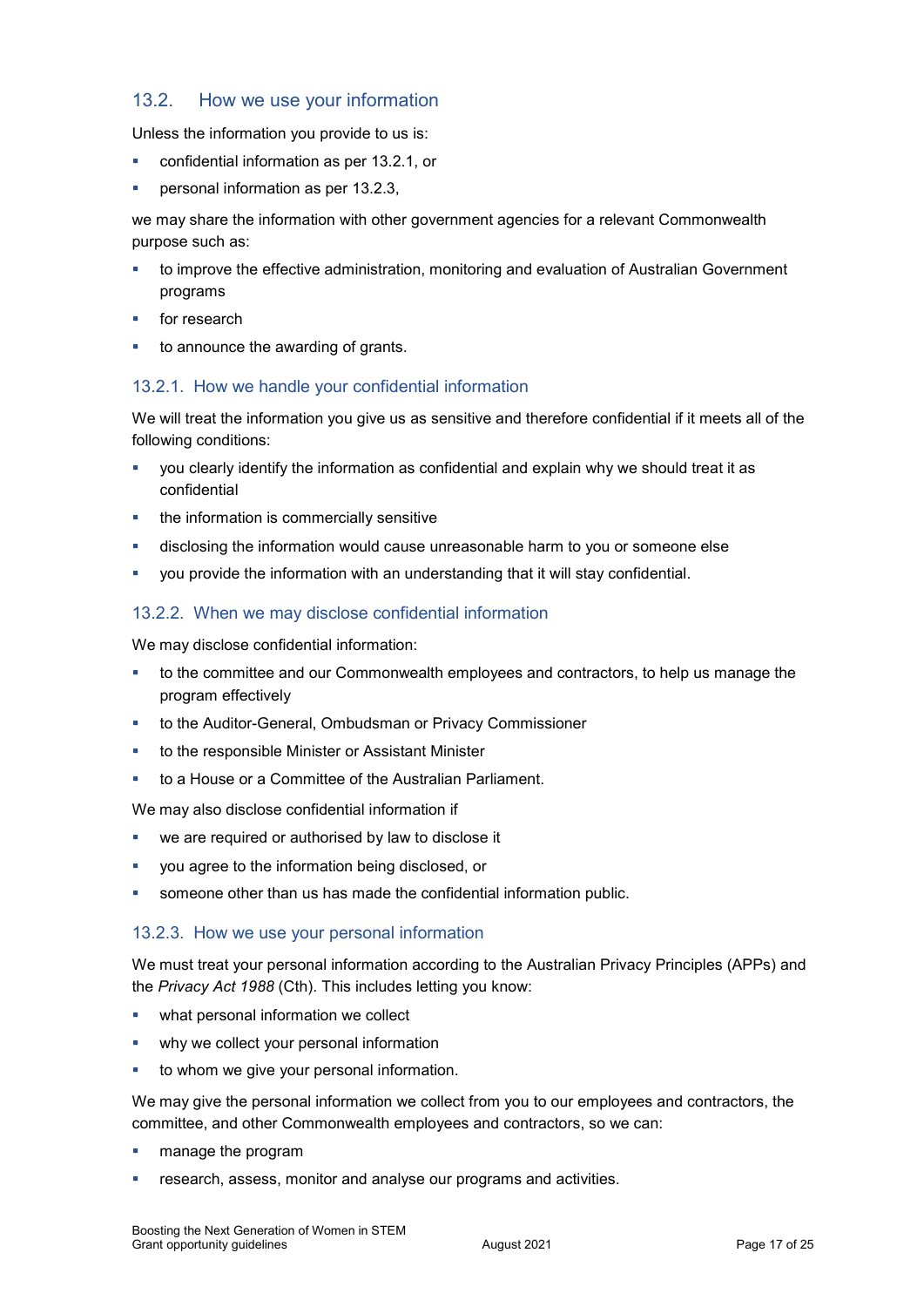### 13.2. How we use your information

Unless the information you provide to us is:

- confidential information as per [13.2.1,](#page-16-0) or
- **personal information as per [13.2.3,](#page-16-1)**

we may share the information with other government agencies for a relevant Commonwealth purpose such as:

- to improve the effective administration, monitoring and evaluation of Australian Government programs
- for research
- to announce the awarding of grants.

### <span id="page-16-0"></span>13.2.1. How we handle your confidential information

We will treat the information you give us as sensitive and therefore confidential if it meets all of the following conditions:

- you clearly identify the information as confidential and explain why we should treat it as confidential
- the information is commercially sensitive
- disclosing the information would cause unreasonable harm to you or someone else
- you provide the information with an understanding that it will stay confidential.

### 13.2.2. When we may disclose confidential information

We may disclose confidential information:

- to the committee and our Commonwealth employees and contractors, to help us manage the program effectively
- to the Auditor-General, Ombudsman or Privacy Commissioner
- **to the responsible Minister or Assistant Minister**
- to a House or a Committee of the Australian Parliament.

We may also disclose confidential information if

- we are required or authorised by law to disclose it
- you agree to the information being disclosed, or
- someone other than us has made the confidential information public.

### <span id="page-16-1"></span>13.2.3. How we use your personal information

We must treat your personal information according to the Australian Privacy Principles (APPs) and the *Privacy Act 1988* (Cth). This includes letting you know:

- what personal information we collect
- **•** why we collect your personal information
- to whom we give your personal information.

We may give the personal information we collect from you to our employees and contractors, the committee, and other Commonwealth employees and contractors, so we can:

- **n** manage the program
- research, assess, monitor and analyse our programs and activities.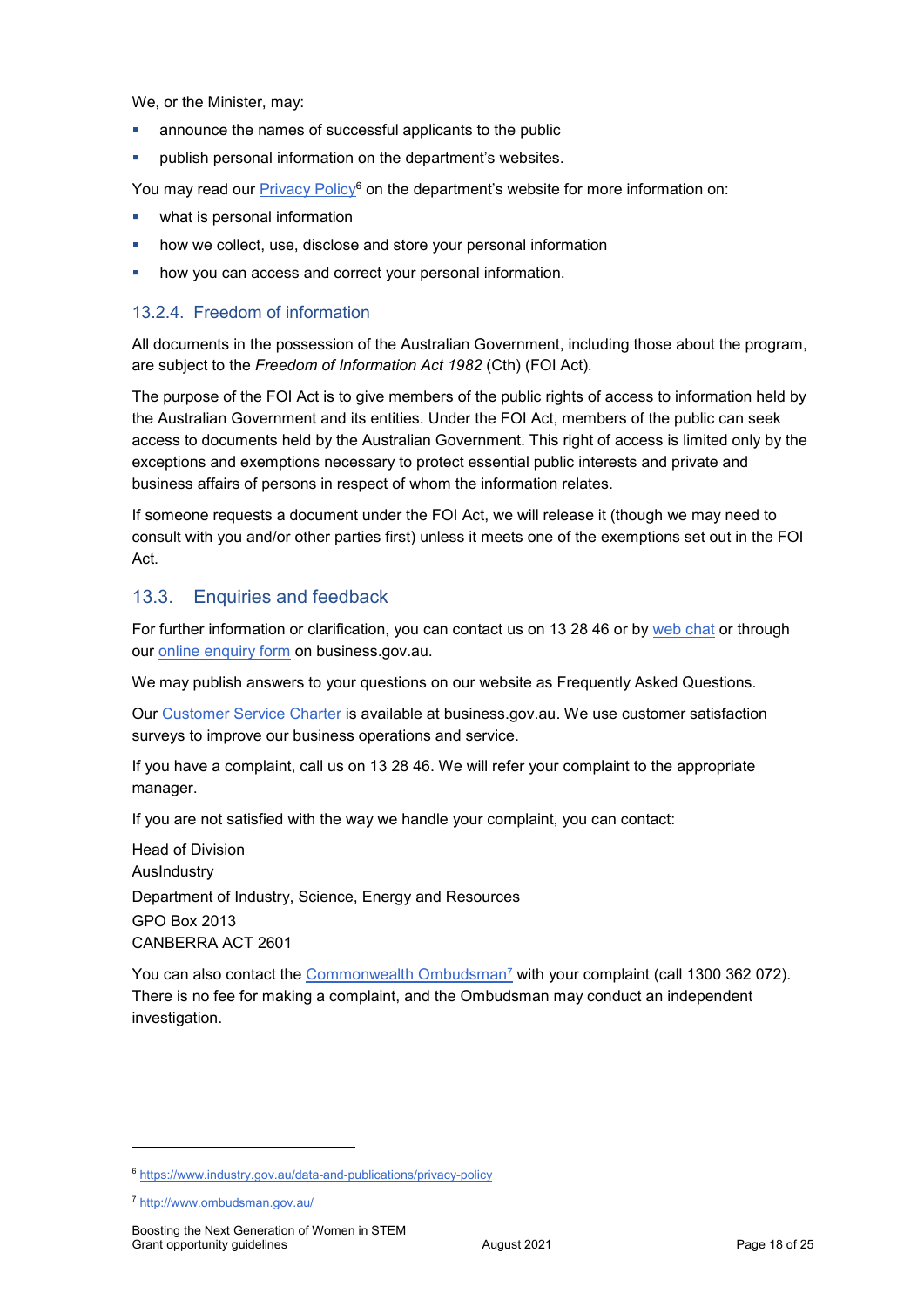We, or the Minister, may:

- announce the names of successful applicants to the public
- publish personal information on the department's websites.

You may read our **Privacy Policy<sup>6</sup> on the department's** website for more information on:

- what is personal information
- how we collect, use, disclose and store your personal information
- how you can access and correct your personal information.

### 13.2.4. Freedom of information

All documents in the possession of the Australian Government, including those about the program, are subject to the *Freedom of Information Act 1982* (Cth) (FOI Act)*.*

The purpose of the FOI Act is to give members of the public rights of access to information held by the Australian Government and its entities. Under the FOI Act, members of the public can seek access to documents held by the Australian Government. This right of access is limited only by the exceptions and exemptions necessary to protect essential public interests and private and business affairs of persons in respect of whom the information relates.

If someone requests a document under the FOI Act, we will release it (though we may need to consult with you and/or other parties first) unless it meets one of the exemptions set out in the FOI Act.

### 13.3. Enquiries and feedback

For further information or clarification, you can contact us on 13 28 46 or by [web chat](https://www.business.gov.au/contact-us) or through our [online enquiry form](http://www.business.gov.au/contact-us/Pages/default.aspx) on business.gov.au.

We may publish answers to your questions on our website as Frequently Asked Questions.

Our [Customer Service Charter](https://www.business.gov.au/about/customer-service-charter) is available at [business.gov.au.](http://www.business.gov.au/) We use customer satisfaction surveys to improve our business operations and service.

If you have a complaint, call us on 13 28 46. We will refer your complaint to the appropriate manager.

If you are not satisfied with the way we handle your complaint, you can contact:

Head of Division AusIndustry Department of Industry, Science, Energy and Resources GPO Box 2013 CANBERRA ACT 2601

You can also contact the [Commonwealth Ombudsman](http://www.ombudsman.gov.au/)<sup>7</sup> with your complaint (call 1300 362 072). There is no fee for making a complaint, and the Ombudsman may conduct an independent investigation.

-

<sup>6</sup> <https://www.industry.gov.au/data-and-publications/privacy-policy>

<sup>7</sup> <http://www.ombudsman.gov.au/>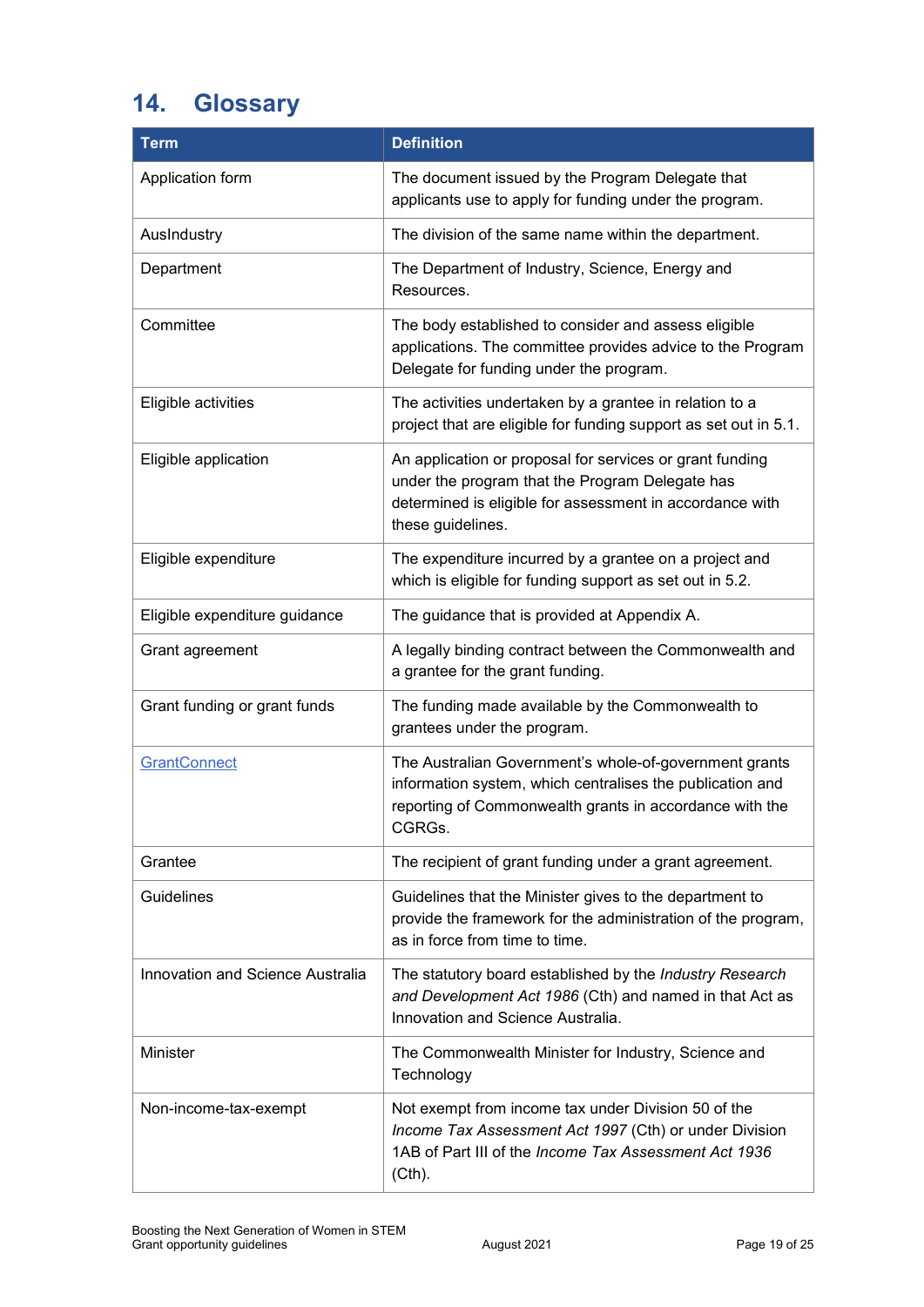# <span id="page-18-0"></span>**14. Glossary**

| <b>Term</b>                      | <b>Definition</b>                                                                                                                                                                            |
|----------------------------------|----------------------------------------------------------------------------------------------------------------------------------------------------------------------------------------------|
| Application form                 | The document issued by the Program Delegate that<br>applicants use to apply for funding under the program.                                                                                   |
| AusIndustry                      | The division of the same name within the department.                                                                                                                                         |
| Department                       | The Department of Industry, Science, Energy and<br>Resources.                                                                                                                                |
| Committee                        | The body established to consider and assess eligible<br>applications. The committee provides advice to the Program<br>Delegate for funding under the program.                                |
| Eligible activities              | The activities undertaken by a grantee in relation to a<br>project that are eligible for funding support as set out in 5.1.                                                                  |
| Eligible application             | An application or proposal for services or grant funding<br>under the program that the Program Delegate has<br>determined is eligible for assessment in accordance with<br>these guidelines. |
| Eligible expenditure             | The expenditure incurred by a grantee on a project and<br>which is eligible for funding support as set out in 5.2.                                                                           |
| Eligible expenditure guidance    | The guidance that is provided at Appendix A.                                                                                                                                                 |
| Grant agreement                  | A legally binding contract between the Commonwealth and<br>a grantee for the grant funding.                                                                                                  |
| Grant funding or grant funds     | The funding made available by the Commonwealth to<br>grantees under the program.                                                                                                             |
| <b>GrantConnect</b>              | The Australian Government's whole-of-government grants<br>information system, which centralises the publication and<br>reporting of Commonwealth grants in accordance with the<br>CGRGs.     |
| Grantee                          | The recipient of grant funding under a grant agreement.                                                                                                                                      |
| Guidelines                       | Guidelines that the Minister gives to the department to<br>provide the framework for the administration of the program,<br>as in force from time to time.                                    |
| Innovation and Science Australia | The statutory board established by the Industry Research<br>and Development Act 1986 (Cth) and named in that Act as<br>Innovation and Science Australia.                                     |
| Minister                         | The Commonwealth Minister for Industry, Science and<br>Technology                                                                                                                            |
| Non-income-tax-exempt            | Not exempt from income tax under Division 50 of the<br>Income Tax Assessment Act 1997 (Cth) or under Division<br>1AB of Part III of the Income Tax Assessment Act 1936<br>(Cth).             |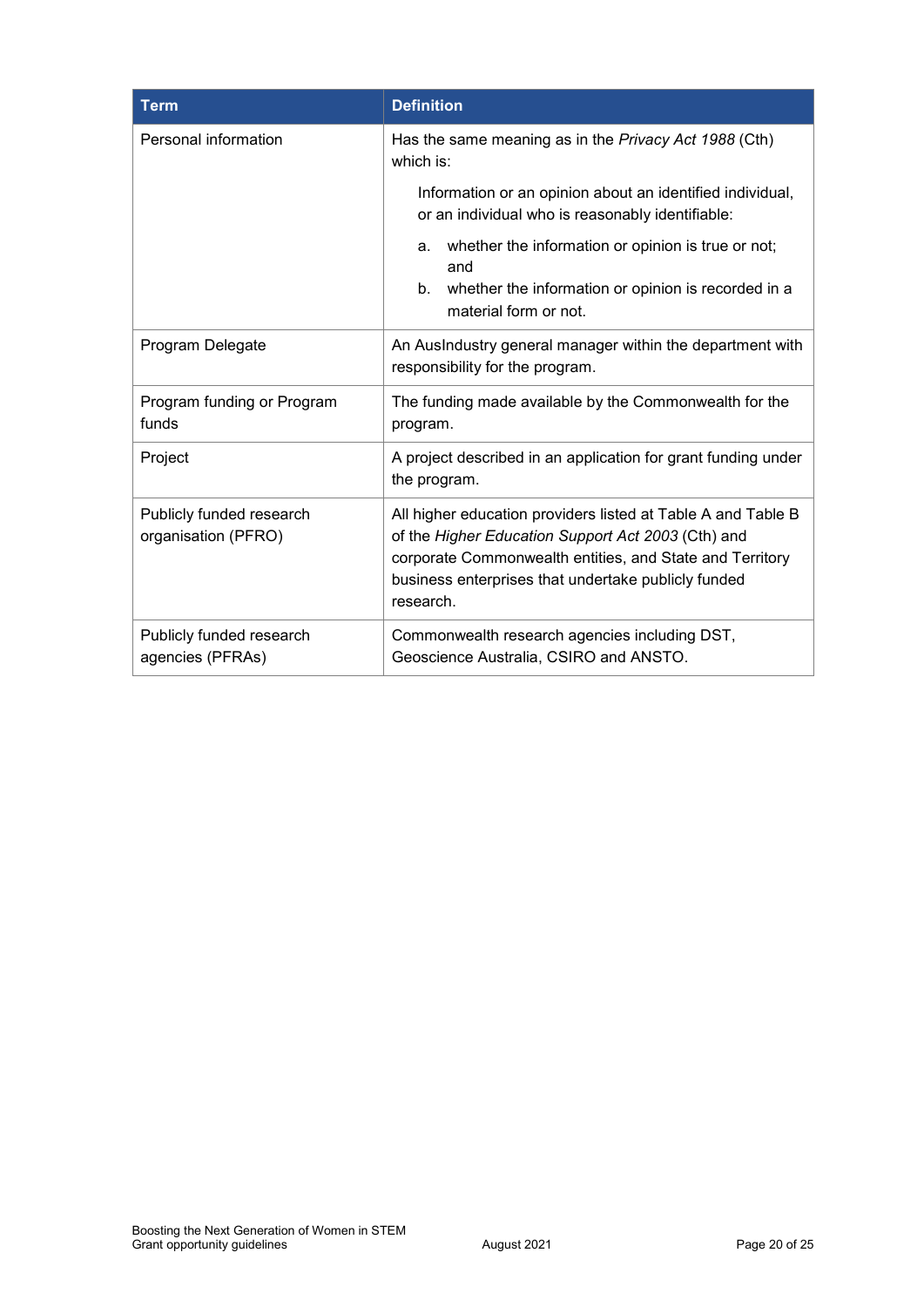| <b>Term</b>                                     | <b>Definition</b>                                                                                                                                                                                                                                  |  |  |
|-------------------------------------------------|----------------------------------------------------------------------------------------------------------------------------------------------------------------------------------------------------------------------------------------------------|--|--|
| Personal information                            | Has the same meaning as in the Privacy Act 1988 (Cth)<br>which is:                                                                                                                                                                                 |  |  |
|                                                 | Information or an opinion about an identified individual,<br>or an individual who is reasonably identifiable:                                                                                                                                      |  |  |
|                                                 | whether the information or opinion is true or not;<br>a.<br>and<br>whether the information or opinion is recorded in a<br>b.<br>material form or not.                                                                                              |  |  |
| Program Delegate                                | An AusIndustry general manager within the department with<br>responsibility for the program.                                                                                                                                                       |  |  |
| Program funding or Program<br>funds             | The funding made available by the Commonwealth for the<br>program.                                                                                                                                                                                 |  |  |
| Project                                         | A project described in an application for grant funding under<br>the program.                                                                                                                                                                      |  |  |
| Publicly funded research<br>organisation (PFRO) | All higher education providers listed at Table A and Table B<br>of the Higher Education Support Act 2003 (Cth) and<br>corporate Commonwealth entities, and State and Territory<br>business enterprises that undertake publicly funded<br>research. |  |  |
| Publicly funded research<br>agencies (PFRAs)    | Commonwealth research agencies including DST,<br>Geoscience Australia, CSIRO and ANSTO.                                                                                                                                                            |  |  |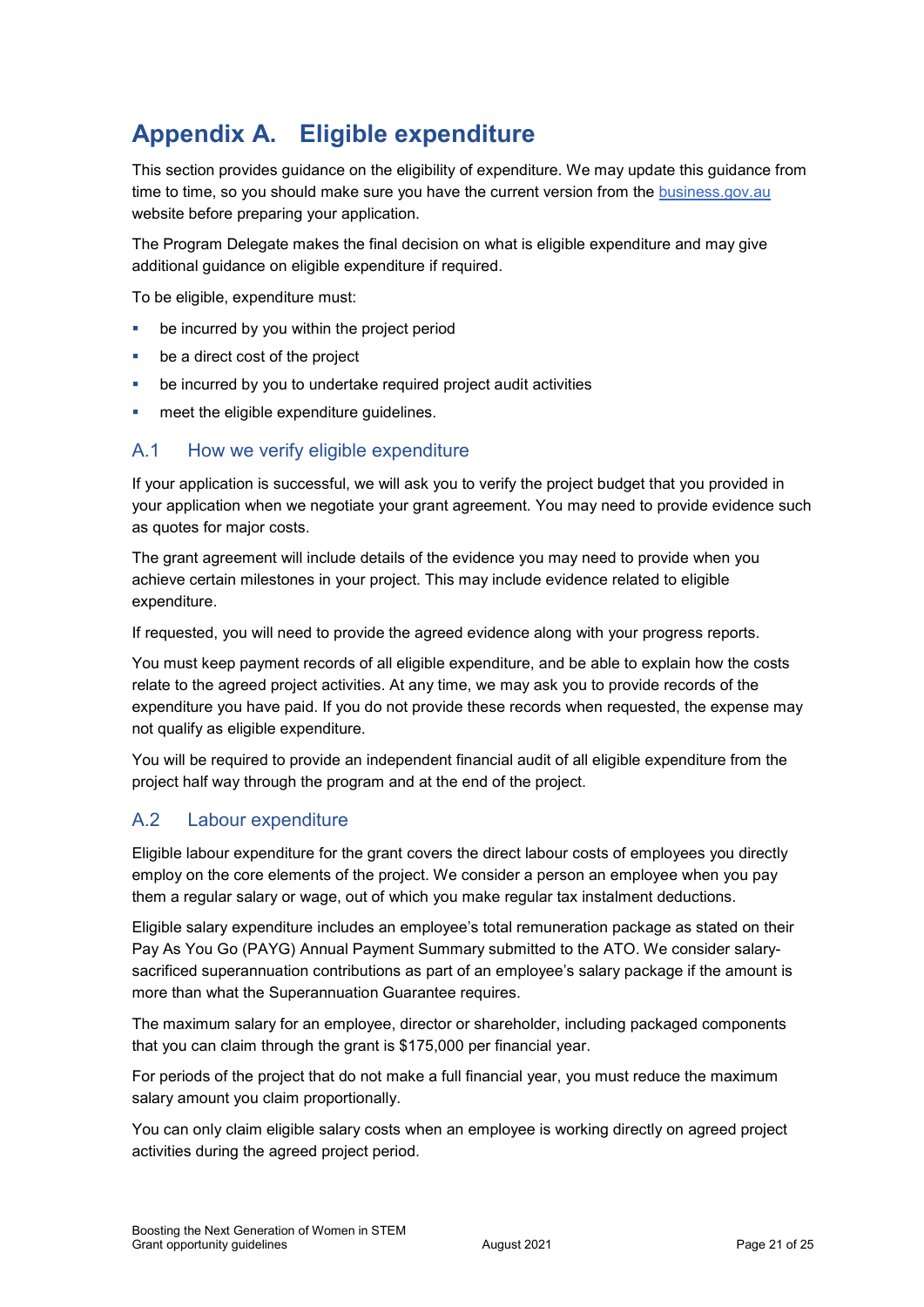# **Appendix A. Eligible expenditure**

This section provides guidance on the eligibility of expenditure. We may update this guidance from time to time, so you should make sure you have the current version from the business.gov.au website before preparing your application.

The Program Delegate makes the final decision on what is eligible expenditure and may give additional guidance on eligible expenditure if required.

To be eligible, expenditure must:

- be incurred by you within the project period
- be a direct cost of the project
- be incurred by you to undertake required project audit activities
- meet the eligible expenditure guidelines.

### A.1 How we verify eligible expenditure

If your application is successful, we will ask you to verify the project budget that you provided in your application when we negotiate your grant agreement. You may need to provide evidence such as quotes for major costs.

The grant agreement will include details of the evidence you may need to provide when you achieve certain milestones in your project. This may include evidence related to eligible expenditure.

If requested, you will need to provide the agreed evidence along with your progress reports.

You must keep payment records of all eligible expenditure, and be able to explain how the costs relate to the agreed project activities. At any time, we may ask you to provide records of the expenditure you have paid. If you do not provide these records when requested, the expense may not qualify as eligible expenditure.

You will be required to provide an independent financial audit of all eligible expenditure from the project half way through the program and at the end of the project.

### A.2 Labour expenditure

Eligible labour expenditure for the grant covers the direct labour costs of employees you directly employ on the core elements of the project. We consider a person an employee when you pay them a regular salary or wage, out of which you make regular tax instalment deductions.

Eligible salary expenditure includes an employee's total remuneration package as stated on their Pay As You Go (PAYG) Annual Payment Summary submitted to the ATO. We consider salarysacrificed superannuation contributions as part of an employee's salary package if the amount is more than what the Superannuation Guarantee requires.

The maximum salary for an employee, director or shareholder, including packaged components that you can claim through the grant is \$175,000 per financial year.

For periods of the project that do not make a full financial year, you must reduce the maximum salary amount you claim proportionally.

You can only claim eligible salary costs when an employee is working directly on agreed project activities during the agreed project period.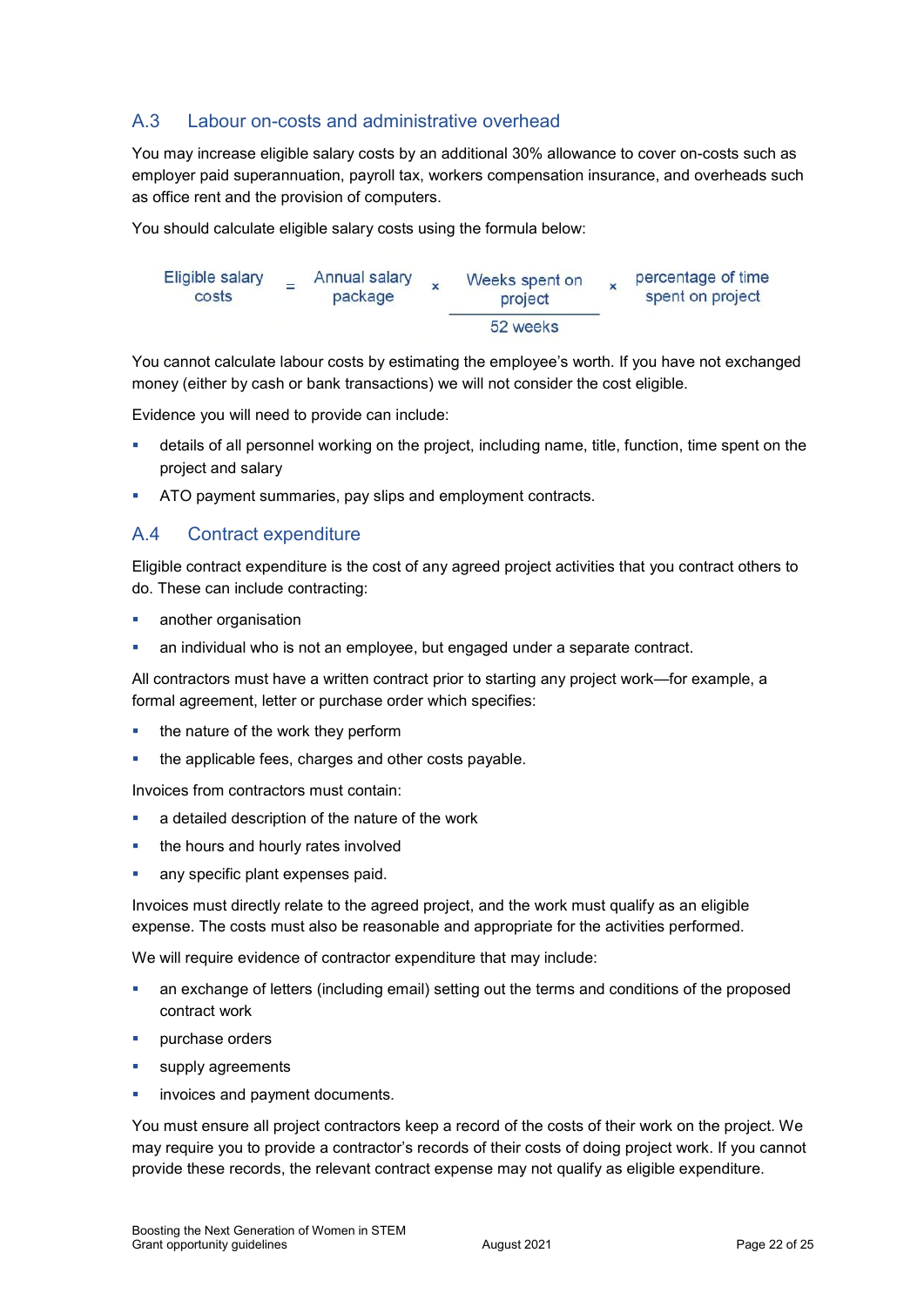### A.3 Labour on-costs and administrative overhead

You may increase eligible salary costs by an additional 30% allowance to cover on-costs such as employer paid superannuation, payroll tax, workers compensation insurance, and overheads such as office rent and the provision of computers.

You should calculate eligible salary costs using the formula below:

| Eligible salary<br>costs | Annual salary<br>package | Weeks spent on<br>project | percentage of time<br>spent on project |
|--------------------------|--------------------------|---------------------------|----------------------------------------|
|                          |                          | 52 weeks                  |                                        |

You cannot calculate labour costs by estimating the employee's worth. If you have not exchanged money (either by cash or bank transactions) we will not consider the cost eligible.

Evidence you will need to provide can include:

- details of all personnel working on the project, including name, title, function, time spent on the project and salary
- ATO payment summaries, pay slips and employment contracts.

### A.4 Contract expenditure

Eligible contract expenditure is the cost of any agreed project activities that you contract others to do. These can include contracting:

- another organisation
- an individual who is not an employee, but engaged under a separate contract.

All contractors must have a written contract prior to starting any project work—for example, a formal agreement, letter or purchase order which specifies:

- $\blacksquare$  the nature of the work they perform
- the applicable fees, charges and other costs payable.

Invoices from contractors must contain:

- a detailed description of the nature of the work
- the hours and hourly rates involved
- **any specific plant expenses paid.**

Invoices must directly relate to the agreed project, and the work must qualify as an eligible expense. The costs must also be reasonable and appropriate for the activities performed.

We will require evidence of contractor expenditure that may include:

- an exchange of letters (including email) setting out the terms and conditions of the proposed contract work
- **purchase orders**
- **supply agreements**
- invoices and payment documents.

You must ensure all project contractors keep a record of the costs of their work on the project. We may require you to provide a contractor's records of their costs of doing project work. If you cannot provide these records, the relevant contract expense may not qualify as eligible expenditure.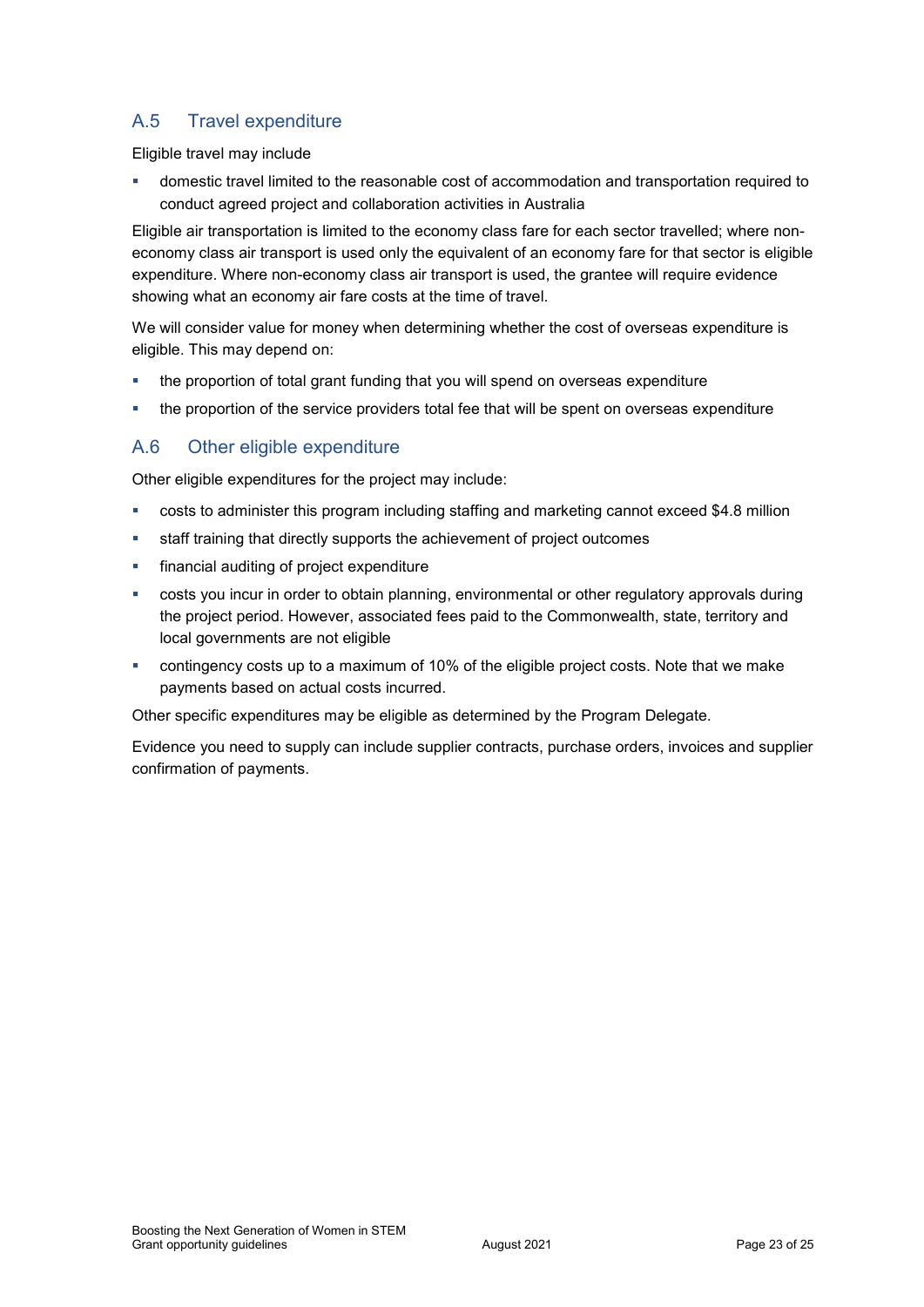## A.5 Travel expenditure

Eligible travel may include

 domestic travel limited to the reasonable cost of accommodation and transportation required to conduct agreed project and collaboration activities in Australia

Eligible air transportation is limited to the economy class fare for each sector travelled; where noneconomy class air transport is used only the equivalent of an economy fare for that sector is eligible expenditure. Where non-economy class air transport is used, the grantee will require evidence showing what an economy air fare costs at the time of travel.

We will consider value for money when determining whether the cost of overseas expenditure is eligible. This may depend on:

- the proportion of total grant funding that you will spend on overseas expenditure
- the proportion of the service providers total fee that will be spent on overseas expenditure

### A.6 Other eligible expenditure

Other eligible expenditures for the project may include:

- costs to administer this program including staffing and marketing cannot exceed \$4.8 million
- staff training that directly supports the achievement of project outcomes
- financial auditing of project expenditure
- costs you incur in order to obtain planning, environmental or other regulatory approvals during the project period. However, associated fees paid to the Commonwealth, state, territory and local governments are not eligible
- contingency costs up to a maximum of 10% of the eligible project costs. Note that we make payments based on actual costs incurred.

Other specific expenditures may be eligible as determined by the Program Delegate.

Evidence you need to supply can include supplier contracts, purchase orders, invoices and supplier confirmation of payments.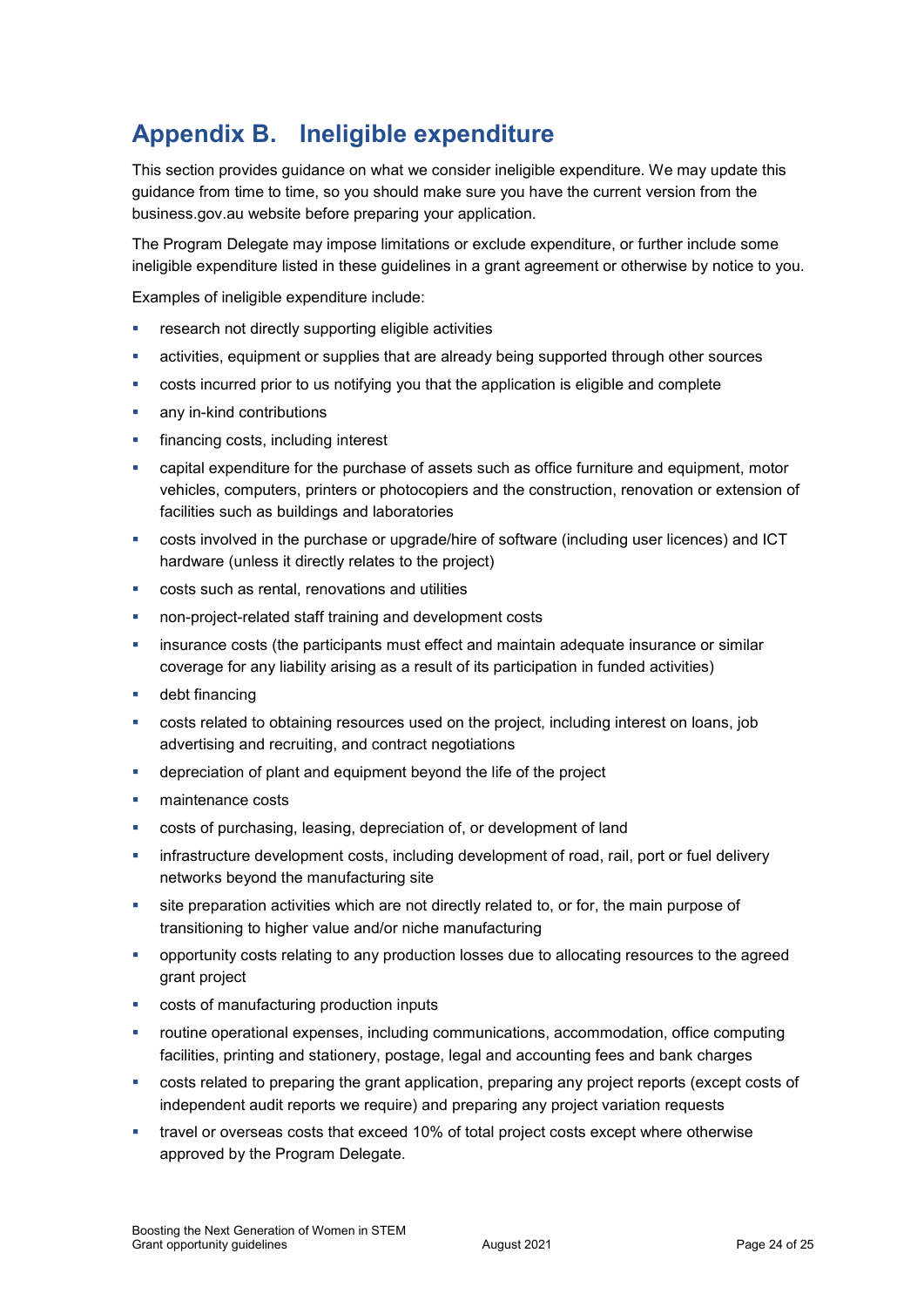# **Appendix B. Ineligible expenditure**

This section provides guidance on what we consider ineligible expenditure. We may update this guidance from time to time, so you should make sure you have the current version from the business.gov.au website before preparing your application.

The Program Delegate may impose limitations or exclude expenditure, or further include some ineligible expenditure listed in these guidelines in a grant agreement or otherwise by notice to you.

Examples of ineligible expenditure include:

- **•** research not directly supporting eligible activities
- activities, equipment or supplies that are already being supported through other sources
- costs incurred prior to us notifying you that the application is eligible and complete
- any in-kind contributions
- financing costs, including interest
- capital expenditure for the purchase of assets such as office furniture and equipment, motor vehicles, computers, printers or photocopiers and the construction, renovation or extension of facilities such as buildings and laboratories
- costs involved in the purchase or upgrade/hire of software (including user licences) and ICT hardware (unless it directly relates to the project)
- costs such as rental, renovations and utilities
- non-project-related staff training and development costs
- insurance costs (the participants must effect and maintain adequate insurance or similar coverage for any liability arising as a result of its participation in funded activities)
- **debt financing**
- costs related to obtaining resources used on the project, including interest on loans, job advertising and recruiting, and contract negotiations
- depreciation of plant and equipment beyond the life of the project
- maintenance costs
- costs of purchasing, leasing, depreciation of, or development of land
- **·** infrastructure development costs, including development of road, rail, port or fuel delivery networks beyond the manufacturing site
- site preparation activities which are not directly related to, or for, the main purpose of transitioning to higher value and/or niche manufacturing
- opportunity costs relating to any production losses due to allocating resources to the agreed grant project
- costs of manufacturing production inputs
- routine operational expenses, including communications, accommodation, office computing facilities, printing and stationery, postage, legal and accounting fees and bank charges
- costs related to preparing the grant application, preparing any project reports (except costs of independent audit reports we require) and preparing any project variation requests
- travel or overseas costs that exceed 10% of total project costs except where otherwise approved by the Program Delegate.